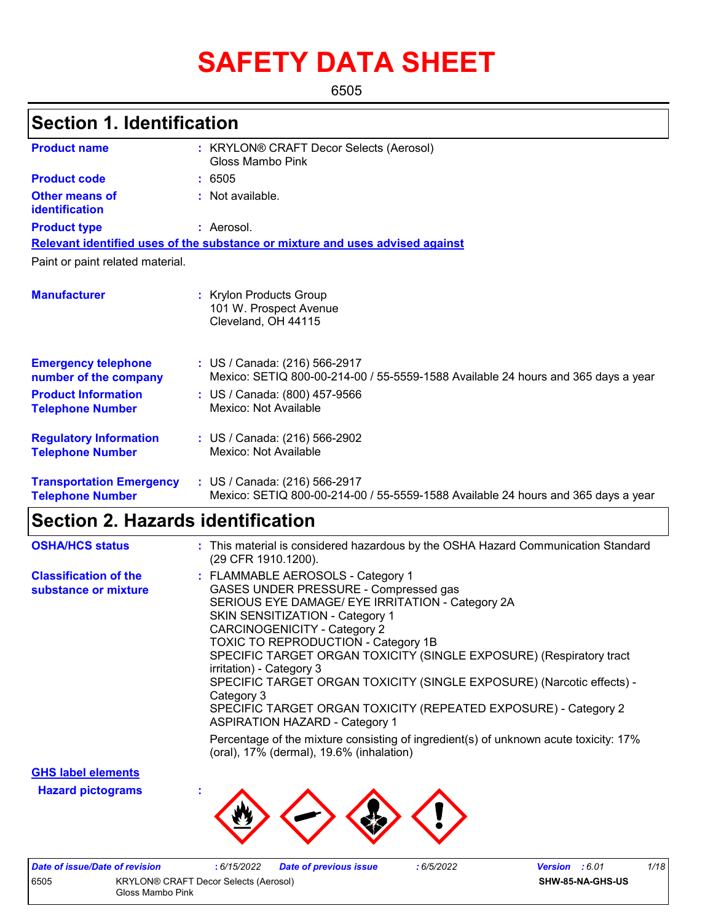# **SAFETY DATA SHEET**

6505

### **Section 1. Identification**

| <b>Product name</b>                                        | : KRYLON® CRAFT Decor Selects (Aerosol)<br>Gloss Mambo Pink                                                        |
|------------------------------------------------------------|--------------------------------------------------------------------------------------------------------------------|
| <b>Product code</b>                                        | : 6505                                                                                                             |
| <b>Other means of</b><br>identification                    | : Not available.                                                                                                   |
| <b>Product type</b>                                        | : Aerosol.                                                                                                         |
|                                                            | Relevant identified uses of the substance or mixture and uses advised against                                      |
| Paint or paint related material.                           |                                                                                                                    |
| <b>Manufacturer</b>                                        | : Krylon Products Group<br>101 W. Prospect Avenue<br>Cleveland, OH 44115                                           |
| <b>Emergency telephone</b><br>number of the company        | : US / Canada: (216) 566-2917<br>Mexico: SETIQ 800-00-214-00 / 55-5559-1588 Available 24 hours and 365 days a year |
| <b>Product Information</b><br><b>Telephone Number</b>      | : US / Canada: (800) 457-9566<br>Mexico: Not Available                                                             |
| <b>Regulatory Information</b><br><b>Telephone Number</b>   | : US / Canada: (216) 566-2902<br>Mexico: Not Available                                                             |
| <b>Transportation Emergency</b><br><b>Telephone Number</b> | : US / Canada: (216) 566-2917<br>Mexico: SETIQ 800-00-214-00 / 55-5559-1588 Available 24 hours and 365 days a year |

# **Section 2. Hazards identification**

| <b>OSHA/HCS status</b>                               | : This material is considered hazardous by the OSHA Hazard Communication Standard<br>(29 CFR 1910.1200).                                                                                                                                                                                                                                                                                                                                                                                                                                                            |
|------------------------------------------------------|---------------------------------------------------------------------------------------------------------------------------------------------------------------------------------------------------------------------------------------------------------------------------------------------------------------------------------------------------------------------------------------------------------------------------------------------------------------------------------------------------------------------------------------------------------------------|
| <b>Classification of the</b><br>substance or mixture | : FLAMMABLE AEROSOLS - Category 1<br>GASES UNDER PRESSURE - Compressed gas<br>SERIOUS EYE DAMAGE/ EYE IRRITATION - Category 2A<br><b>SKIN SENSITIZATION - Category 1</b><br><b>CARCINOGENICITY - Category 2</b><br><b>TOXIC TO REPRODUCTION - Category 1B</b><br>SPECIFIC TARGET ORGAN TOXICITY (SINGLE EXPOSURE) (Respiratory tract<br>irritation) - Category 3<br>SPECIFIC TARGET ORGAN TOXICITY (SINGLE EXPOSURE) (Narcotic effects) -<br>Category 3<br>SPECIFIC TARGET ORGAN TOXICITY (REPEATED EXPOSURE) - Category 2<br><b>ASPIRATION HAZARD - Category 1</b> |
|                                                      | Percentage of the mixture consisting of ingredient(s) of unknown acute toxicity: 17%<br>(oral), 17% (dermal), 19.6% (inhalation)                                                                                                                                                                                                                                                                                                                                                                                                                                    |

**GHS label elements**

**Hazard pictograms :**



|                                               | Date of issue/Date of revision | : 6/15/2022 | <b>Date of previous issue</b> | 6/5/2022                | <b>Version</b> : 6.01 | 1/18 |
|-----------------------------------------------|--------------------------------|-------------|-------------------------------|-------------------------|-----------------------|------|
| 6505<br>KRYLON® CRAFT Decor Selects (Aerosol) |                                |             |                               | <b>SHW-85-NA-GHS-US</b> |                       |      |
| Gloss Mambo Pink                              |                                |             |                               |                         |                       |      |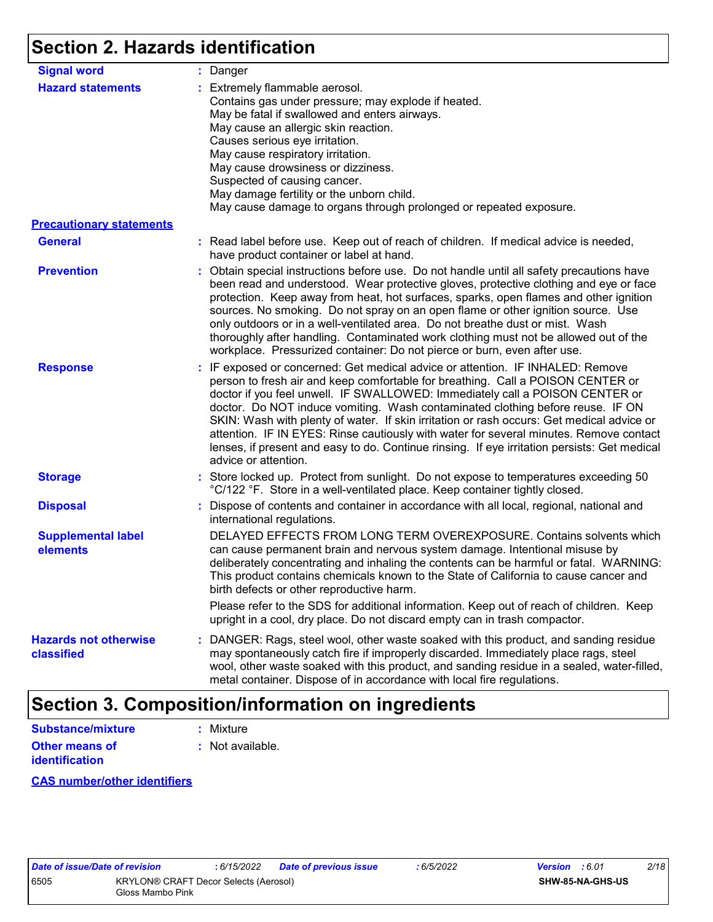## **Section 2. Hazards identification**

| <b>Signal word</b>                         | : Danger                                                                                                                                                                                                                                                                                                                                                                                                                                                                                                                                                                                                                                           |
|--------------------------------------------|----------------------------------------------------------------------------------------------------------------------------------------------------------------------------------------------------------------------------------------------------------------------------------------------------------------------------------------------------------------------------------------------------------------------------------------------------------------------------------------------------------------------------------------------------------------------------------------------------------------------------------------------------|
| <b>Hazard statements</b>                   | : Extremely flammable aerosol.<br>Contains gas under pressure; may explode if heated.<br>May be fatal if swallowed and enters airways.<br>May cause an allergic skin reaction.<br>Causes serious eye irritation.<br>May cause respiratory irritation.<br>May cause drowsiness or dizziness.<br>Suspected of causing cancer.<br>May damage fertility or the unborn child.<br>May cause damage to organs through prolonged or repeated exposure.                                                                                                                                                                                                     |
| <b>Precautionary statements</b>            |                                                                                                                                                                                                                                                                                                                                                                                                                                                                                                                                                                                                                                                    |
| <b>General</b>                             | : Read label before use. Keep out of reach of children. If medical advice is needed,<br>have product container or label at hand.                                                                                                                                                                                                                                                                                                                                                                                                                                                                                                                   |
| <b>Prevention</b>                          | : Obtain special instructions before use. Do not handle until all safety precautions have<br>been read and understood. Wear protective gloves, protective clothing and eye or face<br>protection. Keep away from heat, hot surfaces, sparks, open flames and other ignition<br>sources. No smoking. Do not spray on an open flame or other ignition source. Use<br>only outdoors or in a well-ventilated area. Do not breathe dust or mist. Wash<br>thoroughly after handling. Contaminated work clothing must not be allowed out of the<br>workplace. Pressurized container: Do not pierce or burn, even after use.                               |
| <b>Response</b>                            | : IF exposed or concerned: Get medical advice or attention. IF INHALED: Remove<br>person to fresh air and keep comfortable for breathing. Call a POISON CENTER or<br>doctor if you feel unwell. IF SWALLOWED: Immediately call a POISON CENTER or<br>doctor. Do NOT induce vomiting. Wash contaminated clothing before reuse. IF ON<br>SKIN: Wash with plenty of water. If skin irritation or rash occurs: Get medical advice or<br>attention. IF IN EYES: Rinse cautiously with water for several minutes. Remove contact<br>lenses, if present and easy to do. Continue rinsing. If eye irritation persists: Get medical<br>advice or attention. |
| <b>Storage</b>                             | : Store locked up. Protect from sunlight. Do not expose to temperatures exceeding 50<br>°C/122 °F. Store in a well-ventilated place. Keep container tightly closed.                                                                                                                                                                                                                                                                                                                                                                                                                                                                                |
| <b>Disposal</b>                            | : Dispose of contents and container in accordance with all local, regional, national and<br>international regulations.                                                                                                                                                                                                                                                                                                                                                                                                                                                                                                                             |
| <b>Supplemental label</b><br>elements      | DELAYED EFFECTS FROM LONG TERM OVEREXPOSURE. Contains solvents which<br>can cause permanent brain and nervous system damage. Intentional misuse by<br>deliberately concentrating and inhaling the contents can be harmful or fatal. WARNING:<br>This product contains chemicals known to the State of California to cause cancer and<br>birth defects or other reproductive harm.                                                                                                                                                                                                                                                                  |
|                                            | Please refer to the SDS for additional information. Keep out of reach of children. Keep<br>upright in a cool, dry place. Do not discard empty can in trash compactor.                                                                                                                                                                                                                                                                                                                                                                                                                                                                              |
| <b>Hazards not otherwise</b><br>classified | : DANGER: Rags, steel wool, other waste soaked with this product, and sanding residue<br>may spontaneously catch fire if improperly discarded. Immediately place rags, steel<br>wool, other waste soaked with this product, and sanding residue in a sealed, water-filled,<br>metal container. Dispose of in accordance with local fire regulations.                                                                                                                                                                                                                                                                                               |

### **Section 3. Composition/information on ingredients**

| Substance/mixture     | : Mixture        |
|-----------------------|------------------|
| <b>Other means of</b> | : Not available. |
| <b>identification</b> |                  |

#### **CAS number/other identifiers**

|     | ate of issue/Date of r |     |  |
|-----|------------------------|-----|--|
| 505 |                        | ΚR  |  |
|     |                        | Glo |  |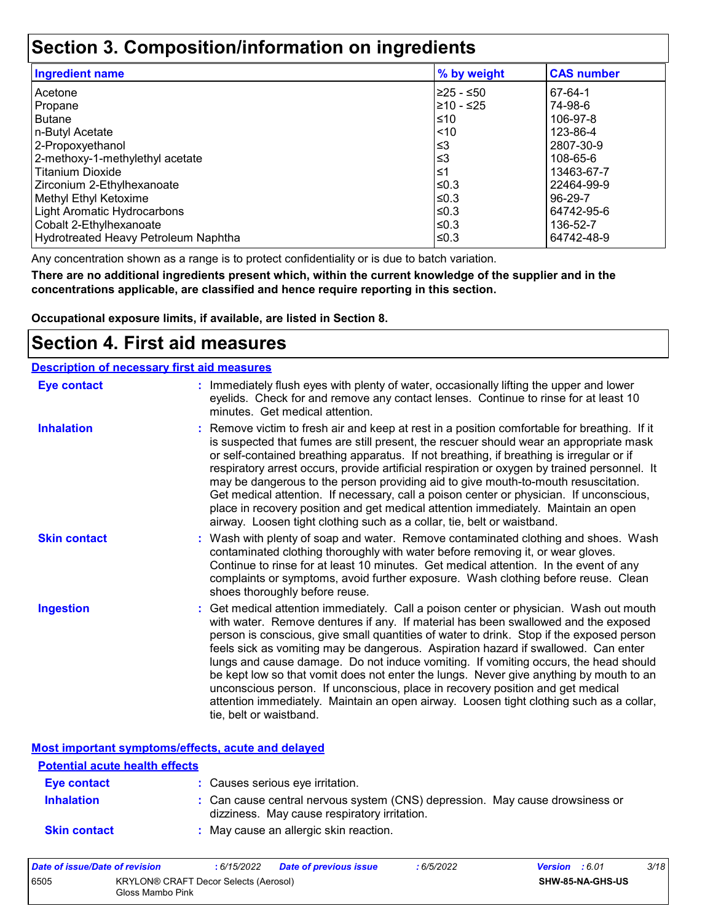### **Section 3. Composition/information on ingredients**

| <b>Ingredient name</b>               | % by weight | <b>CAS number</b> |
|--------------------------------------|-------------|-------------------|
| Acetone                              | l≥25 - ≤50  | 67-64-1           |
| Propane                              | ≥10 - ≤25   | 74-98-6           |
| <b>Butane</b>                        | ≤10         | 106-97-8          |
| n-Butyl Acetate                      | < 10        | 123-86-4          |
| 2-Propoxyethanol                     | ≤3          | 2807-30-9         |
| 2-methoxy-1-methylethyl acetate      | ≤3          | 108-65-6          |
| <b>Titanium Dioxide</b>              | $\leq 1$    | 13463-67-7        |
| Zirconium 2-Ethylhexanoate           | l≤0.3       | 22464-99-9        |
| Methyl Ethyl Ketoxime                | ≤0.3        | 96-29-7           |
| Light Aromatic Hydrocarbons          | ≤0.3        | 64742-95-6        |
| Cobalt 2-Ethylhexanoate              | ≤0.3        | 136-52-7          |
| Hydrotreated Heavy Petroleum Naphtha | l≤0.3       | 64742-48-9        |

Any concentration shown as a range is to protect confidentiality or is due to batch variation.

**There are no additional ingredients present which, within the current knowledge of the supplier and in the concentrations applicable, are classified and hence require reporting in this section.**

**Occupational exposure limits, if available, are listed in Section 8.**

### **Section 4. First aid measures**

| <b>Description of necessary first aid measures</b> |                                                                                                                                                                                                                                                                                                                                                                                                                                                                                                                                                                                                                                                                                                                                                         |
|----------------------------------------------------|---------------------------------------------------------------------------------------------------------------------------------------------------------------------------------------------------------------------------------------------------------------------------------------------------------------------------------------------------------------------------------------------------------------------------------------------------------------------------------------------------------------------------------------------------------------------------------------------------------------------------------------------------------------------------------------------------------------------------------------------------------|
| <b>Eye contact</b>                                 | : Immediately flush eyes with plenty of water, occasionally lifting the upper and lower<br>eyelids. Check for and remove any contact lenses. Continue to rinse for at least 10<br>minutes. Get medical attention.                                                                                                                                                                                                                                                                                                                                                                                                                                                                                                                                       |
| <b>Inhalation</b>                                  | : Remove victim to fresh air and keep at rest in a position comfortable for breathing. If it<br>is suspected that fumes are still present, the rescuer should wear an appropriate mask<br>or self-contained breathing apparatus. If not breathing, if breathing is irregular or if<br>respiratory arrest occurs, provide artificial respiration or oxygen by trained personnel. It<br>may be dangerous to the person providing aid to give mouth-to-mouth resuscitation.<br>Get medical attention. If necessary, call a poison center or physician. If unconscious,<br>place in recovery position and get medical attention immediately. Maintain an open<br>airway. Loosen tight clothing such as a collar, tie, belt or waistband.                    |
| <b>Skin contact</b>                                | : Wash with plenty of soap and water. Remove contaminated clothing and shoes. Wash<br>contaminated clothing thoroughly with water before removing it, or wear gloves.<br>Continue to rinse for at least 10 minutes. Get medical attention. In the event of any<br>complaints or symptoms, avoid further exposure. Wash clothing before reuse. Clean<br>shoes thoroughly before reuse.                                                                                                                                                                                                                                                                                                                                                                   |
| <b>Ingestion</b>                                   | : Get medical attention immediately. Call a poison center or physician. Wash out mouth<br>with water. Remove dentures if any. If material has been swallowed and the exposed<br>person is conscious, give small quantities of water to drink. Stop if the exposed person<br>feels sick as vomiting may be dangerous. Aspiration hazard if swallowed. Can enter<br>lungs and cause damage. Do not induce vomiting. If vomiting occurs, the head should<br>be kept low so that vomit does not enter the lungs. Never give anything by mouth to an<br>unconscious person. If unconscious, place in recovery position and get medical<br>attention immediately. Maintain an open airway. Loosen tight clothing such as a collar,<br>tie, belt or waistband. |

**Most important symptoms/effects, acute and delayed**

| <b>Potential acute health effects</b> |                                                                                                                              |
|---------------------------------------|------------------------------------------------------------------------------------------------------------------------------|
| Eye contact                           | : Causes serious eye irritation.                                                                                             |
| <b>Inhalation</b>                     | : Can cause central nervous system (CNS) depression. May cause drowsiness or<br>dizziness. May cause respiratory irritation. |
| <b>Skin contact</b>                   | : May cause an allergic skin reaction.                                                                                       |

| Date of issue/Date of revision                                    |  | : 6/15/2022 | <b>Date of previous issue</b> | 6/5/2022 | <b>Version</b> : 6.01 |                         | 3/18 |
|-------------------------------------------------------------------|--|-------------|-------------------------------|----------|-----------------------|-------------------------|------|
| 6505<br>KRYLON® CRAFT Decor Selects (Aerosol)<br>Gloss Mambo Pink |  |             |                               |          |                       | <b>SHW-85-NA-GHS-US</b> |      |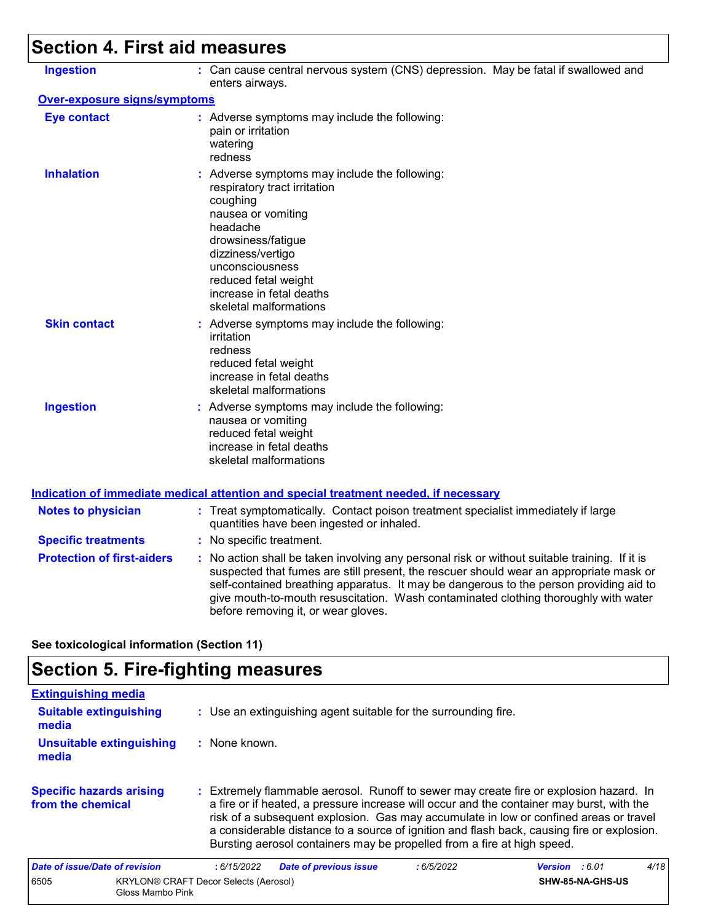# **Section 4. First aid measures**

| <b>Ingestion</b>                    | : Can cause central nervous system (CNS) depression. May be fatal if swallowed and<br>enters airways.                                                                                                                                                                                                                                                                                                           |
|-------------------------------------|-----------------------------------------------------------------------------------------------------------------------------------------------------------------------------------------------------------------------------------------------------------------------------------------------------------------------------------------------------------------------------------------------------------------|
| <b>Over-exposure signs/symptoms</b> |                                                                                                                                                                                                                                                                                                                                                                                                                 |
| <b>Eye contact</b>                  | : Adverse symptoms may include the following:<br>pain or irritation<br>watering<br>redness                                                                                                                                                                                                                                                                                                                      |
| <b>Inhalation</b>                   | : Adverse symptoms may include the following:<br>respiratory tract irritation<br>coughing<br>nausea or vomiting<br>headache<br>drowsiness/fatigue<br>dizziness/vertigo<br>unconsciousness<br>reduced fetal weight<br>increase in fetal deaths<br>skeletal malformations                                                                                                                                         |
| <b>Skin contact</b>                 | : Adverse symptoms may include the following:<br>irritation<br>redness<br>reduced fetal weight<br>increase in fetal deaths<br>skeletal malformations                                                                                                                                                                                                                                                            |
| <b>Ingestion</b>                    | : Adverse symptoms may include the following:<br>nausea or vomiting<br>reduced fetal weight<br>increase in fetal deaths<br>skeletal malformations                                                                                                                                                                                                                                                               |
|                                     | <b>Indication of immediate medical attention and special treatment needed, if necessary</b>                                                                                                                                                                                                                                                                                                                     |
| <b>Notes to physician</b>           | : Treat symptomatically. Contact poison treatment specialist immediately if large<br>quantities have been ingested or inhaled.                                                                                                                                                                                                                                                                                  |
| <b>Specific treatments</b>          | : No specific treatment.                                                                                                                                                                                                                                                                                                                                                                                        |
| <b>Protection of first-aiders</b>   | : No action shall be taken involving any personal risk or without suitable training. If it is<br>suspected that fumes are still present, the rescuer should wear an appropriate mask or<br>self-contained breathing apparatus. It may be dangerous to the person providing aid to<br>give mouth-to-mouth resuscitation. Wash contaminated clothing thoroughly with water<br>before removing it, or wear gloves. |

**See toxicological information (Section 11)**

## **Section 5. Fire-fighting measures**

| <b>Extinguishing media</b>                           |                                                                                                                                                                                                                                                                                                                                                                                                                                                       |                       |      |
|------------------------------------------------------|-------------------------------------------------------------------------------------------------------------------------------------------------------------------------------------------------------------------------------------------------------------------------------------------------------------------------------------------------------------------------------------------------------------------------------------------------------|-----------------------|------|
| <b>Suitable extinguishing</b><br>media               | : Use an extinguishing agent suitable for the surrounding fire.                                                                                                                                                                                                                                                                                                                                                                                       |                       |      |
| Unsuitable extinguishing<br>media                    | : None known.                                                                                                                                                                                                                                                                                                                                                                                                                                         |                       |      |
| <b>Specific hazards arising</b><br>from the chemical | : Extremely flammable aerosol. Runoff to sewer may create fire or explosion hazard. In<br>a fire or if heated, a pressure increase will occur and the container may burst, with the<br>risk of a subsequent explosion. Gas may accumulate in low or confined areas or travel<br>a considerable distance to a source of ignition and flash back, causing fire or explosion.<br>Bursting aerosol containers may be propelled from a fire at high speed. |                       |      |
| Date of issue/Date of revision                       | <b>Date of previous issue</b><br>:6/15/2022<br>:6/5/2022                                                                                                                                                                                                                                                                                                                                                                                              | <b>Version</b> : 6.01 | 4/18 |
| 6505<br>Gloss Mambo Pink                             | <b>KRYLON® CRAFT Decor Selects (Aerosol)</b>                                                                                                                                                                                                                                                                                                                                                                                                          | SHW-85-NA-GHS-US      |      |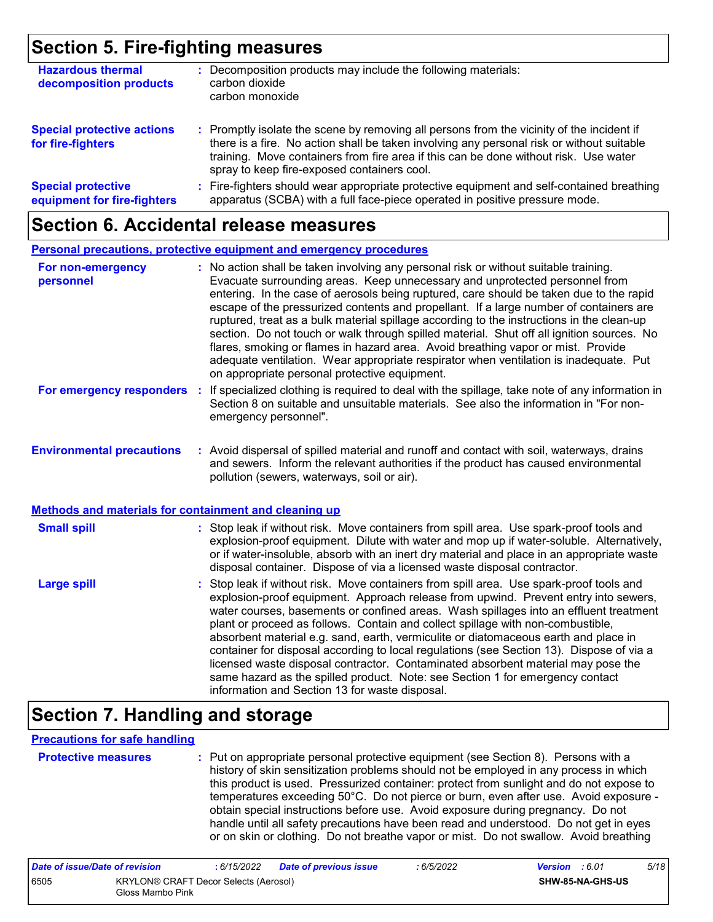### **Section 5. Fire-fighting measures**

| <b>Hazardous thermal</b><br>decomposition products       | Decomposition products may include the following materials:<br>carbon dioxide<br>carbon monoxide                                                                                                                                                                                                                              |
|----------------------------------------------------------|-------------------------------------------------------------------------------------------------------------------------------------------------------------------------------------------------------------------------------------------------------------------------------------------------------------------------------|
| <b>Special protective actions</b><br>for fire-fighters   | : Promptly isolate the scene by removing all persons from the vicinity of the incident if<br>there is a fire. No action shall be taken involving any personal risk or without suitable<br>training. Move containers from fire area if this can be done without risk. Use water<br>spray to keep fire-exposed containers cool. |
| <b>Special protective</b><br>equipment for fire-fighters | : Fire-fighters should wear appropriate protective equipment and self-contained breathing<br>apparatus (SCBA) with a full face-piece operated in positive pressure mode.                                                                                                                                                      |

### **Section 6. Accidental release measures**

|                                                                                                  | Personal precautions, protective equipment and emergency procedures                                                                                                                                                                                                                                                                                                                                                                                                                                                                                                                                                                                                                                                                                                              |
|--------------------------------------------------------------------------------------------------|----------------------------------------------------------------------------------------------------------------------------------------------------------------------------------------------------------------------------------------------------------------------------------------------------------------------------------------------------------------------------------------------------------------------------------------------------------------------------------------------------------------------------------------------------------------------------------------------------------------------------------------------------------------------------------------------------------------------------------------------------------------------------------|
| For non-emergency<br>personnel                                                                   | : No action shall be taken involving any personal risk or without suitable training.<br>Evacuate surrounding areas. Keep unnecessary and unprotected personnel from<br>entering. In the case of aerosols being ruptured, care should be taken due to the rapid<br>escape of the pressurized contents and propellant. If a large number of containers are<br>ruptured, treat as a bulk material spillage according to the instructions in the clean-up<br>section. Do not touch or walk through spilled material. Shut off all ignition sources. No<br>flares, smoking or flames in hazard area. Avoid breathing vapor or mist. Provide<br>adequate ventilation. Wear appropriate respirator when ventilation is inadequate. Put<br>on appropriate personal protective equipment. |
| For emergency responders                                                                         | If specialized clothing is required to deal with the spillage, take note of any information in<br>Section 8 on suitable and unsuitable materials. See also the information in "For non-<br>emergency personnel".                                                                                                                                                                                                                                                                                                                                                                                                                                                                                                                                                                 |
| <b>Environmental precautions</b><br><b>Methods and materials for containment and cleaning up</b> | : Avoid dispersal of spilled material and runoff and contact with soil, waterways, drains<br>and sewers. Inform the relevant authorities if the product has caused environmental<br>pollution (sewers, waterways, soil or air).                                                                                                                                                                                                                                                                                                                                                                                                                                                                                                                                                  |
|                                                                                                  |                                                                                                                                                                                                                                                                                                                                                                                                                                                                                                                                                                                                                                                                                                                                                                                  |
| <b>Small spill</b>                                                                               | : Stop leak if without risk. Move containers from spill area. Use spark-proof tools and<br>explosion-proof equipment. Dilute with water and mop up if water-soluble. Alternatively,<br>or if water-insoluble, absorb with an inert dry material and place in an appropriate waste<br>disposal container. Dispose of via a licensed waste disposal contractor.                                                                                                                                                                                                                                                                                                                                                                                                                    |
| <b>Large spill</b>                                                                               | : Stop leak if without risk. Move containers from spill area. Use spark-proof tools and<br>explosion-proof equipment. Approach release from upwind. Prevent entry into sewers,<br>water courses, basements or confined areas. Wash spillages into an effluent treatment<br>plant or proceed as follows. Contain and collect spillage with non-combustible,<br>absorbent material e.g. sand, earth, vermiculite or diatomaceous earth and place in<br>container for disposal according to local regulations (see Section 13). Dispose of via a<br>licensed waste disposal contractor. Contaminated absorbent material may pose the<br>same hazard as the spilled product. Note: see Section 1 for emergency contact<br>information and Section 13 for waste disposal.             |

### **Section 7. Handling and storage**

#### **Precautions for safe handling**

| <b>Protective mea</b> |  |
|-----------------------|--|
|                       |  |
|                       |  |

**Protective measures :** Put on appropriate personal protective equipment (see Section 8). Persons with a history of skin sensitization problems should not be employed in any process in which this product is used. Pressurized container: protect from sunlight and do not expose to temperatures exceeding 50°C. Do not pierce or burn, even after use. Avoid exposure obtain special instructions before use. Avoid exposure during pregnancy. Do not handle until all safety precautions have been read and understood. Do not get in eyes or on skin or clothing. Do not breathe vapor or mist. Do not swallow. Avoid breathing

| Date of issue/Date of revision |                                                           | : 6/15/2022 | <b>Date of previous issue</b> | : 6/5/2022 | <b>Version</b> : 6.01 |                         | 5/18 |
|--------------------------------|-----------------------------------------------------------|-------------|-------------------------------|------------|-----------------------|-------------------------|------|
| 6505                           | KRYLON® CRAFT Decor Selects (Aerosol)<br>Gloss Mambo Pink |             |                               |            |                       | <b>SHW-85-NA-GHS-US</b> |      |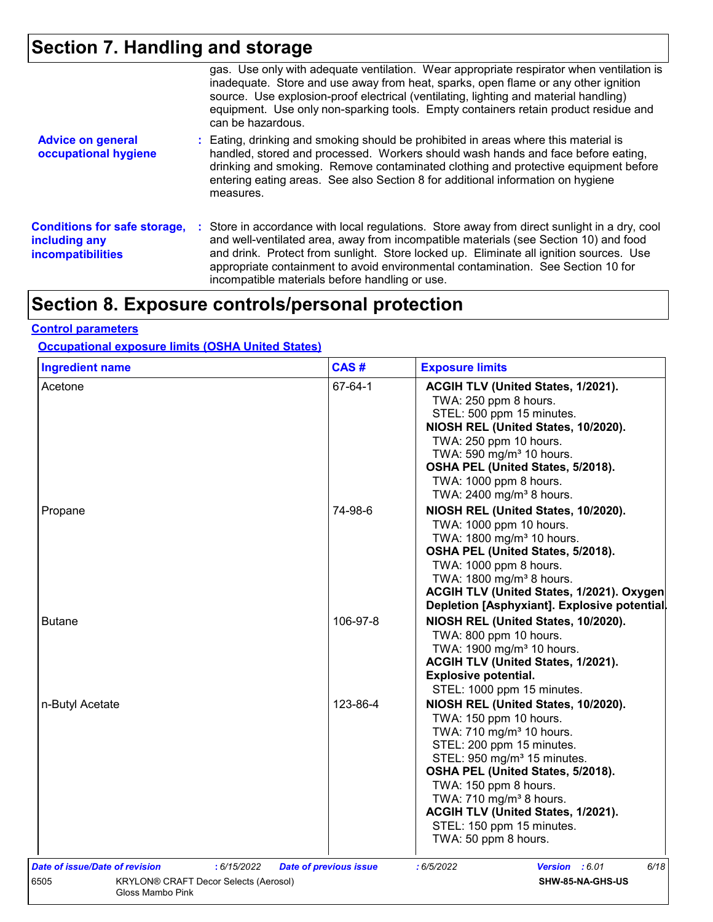# **Section 7. Handling and storage**

|                                                                                  | gas. Use only with adequate ventilation. Wear appropriate respirator when ventilation is<br>inadequate. Store and use away from heat, sparks, open flame or any other ignition<br>source. Use explosion-proof electrical (ventilating, lighting and material handling)<br>equipment. Use only non-sparking tools. Empty containers retain product residue and<br>can be hazardous.                                   |
|----------------------------------------------------------------------------------|----------------------------------------------------------------------------------------------------------------------------------------------------------------------------------------------------------------------------------------------------------------------------------------------------------------------------------------------------------------------------------------------------------------------|
| <b>Advice on general</b><br>occupational hygiene                                 | : Eating, drinking and smoking should be prohibited in areas where this material is<br>handled, stored and processed. Workers should wash hands and face before eating,<br>drinking and smoking. Remove contaminated clothing and protective equipment before<br>entering eating areas. See also Section 8 for additional information on hygiene<br>measures.                                                        |
| <b>Conditions for safe storage,</b><br>including any<br><b>incompatibilities</b> | : Store in accordance with local regulations. Store away from direct sunlight in a dry, cool<br>and well-ventilated area, away from incompatible materials (see Section 10) and food<br>and drink. Protect from sunlight. Store locked up. Eliminate all ignition sources. Use<br>appropriate containment to avoid environmental contamination. See Section 10 for<br>incompatible materials before handling or use. |

# **Section 8. Exposure controls/personal protection**

#### **Control parameters**

#### **Occupational exposure limits (OSHA United States)**

| <b>Ingredient name</b>                                                   | CAS#                          | <b>Exposure limits</b>                                                                                                                                                                                                                                                                                                                                                        |
|--------------------------------------------------------------------------|-------------------------------|-------------------------------------------------------------------------------------------------------------------------------------------------------------------------------------------------------------------------------------------------------------------------------------------------------------------------------------------------------------------------------|
| Acetone                                                                  | 67-64-1                       | ACGIH TLV (United States, 1/2021).<br>TWA: 250 ppm 8 hours.<br>STEL: 500 ppm 15 minutes.<br>NIOSH REL (United States, 10/2020).<br>TWA: 250 ppm 10 hours.<br>TWA: 590 mg/m <sup>3</sup> 10 hours.<br>OSHA PEL (United States, 5/2018).<br>TWA: 1000 ppm 8 hours.<br>TWA: 2400 mg/m <sup>3</sup> 8 hours.                                                                      |
| Propane                                                                  | 74-98-6                       | NIOSH REL (United States, 10/2020).<br>TWA: 1000 ppm 10 hours.<br>TWA: 1800 mg/m <sup>3</sup> 10 hours.<br>OSHA PEL (United States, 5/2018).<br>TWA: 1000 ppm 8 hours.<br>TWA: 1800 mg/m <sup>3</sup> 8 hours.<br>ACGIH TLV (United States, 1/2021). Oxygen<br>Depletion [Asphyxiant]. Explosive potential.                                                                   |
| <b>Butane</b>                                                            | 106-97-8                      | NIOSH REL (United States, 10/2020).<br>TWA: 800 ppm 10 hours.<br>TWA: 1900 mg/m <sup>3</sup> 10 hours.<br>ACGIH TLV (United States, 1/2021).<br><b>Explosive potential.</b><br>STEL: 1000 ppm 15 minutes.                                                                                                                                                                     |
| n-Butyl Acetate                                                          | 123-86-4                      | NIOSH REL (United States, 10/2020).<br>TWA: 150 ppm 10 hours.<br>TWA: 710 mg/m <sup>3</sup> 10 hours.<br>STEL: 200 ppm 15 minutes.<br>STEL: 950 mg/m <sup>3</sup> 15 minutes.<br>OSHA PEL (United States, 5/2018).<br>TWA: 150 ppm 8 hours.<br>TWA: 710 mg/m <sup>3</sup> 8 hours.<br>ACGIH TLV (United States, 1/2021).<br>STEL: 150 ppm 15 minutes.<br>TWA: 50 ppm 8 hours. |
| Date of issue/Date of revision<br>: 6/15/2022                            | <b>Date of previous issue</b> | 6/18<br>:6/5/2022<br>Version : 6.01                                                                                                                                                                                                                                                                                                                                           |
| 6505<br><b>KRYLON® CRAFT Decor Selects (Aerosol)</b><br>Gloss Mambo Pink |                               | SHW-85-NA-GHS-US                                                                                                                                                                                                                                                                                                                                                              |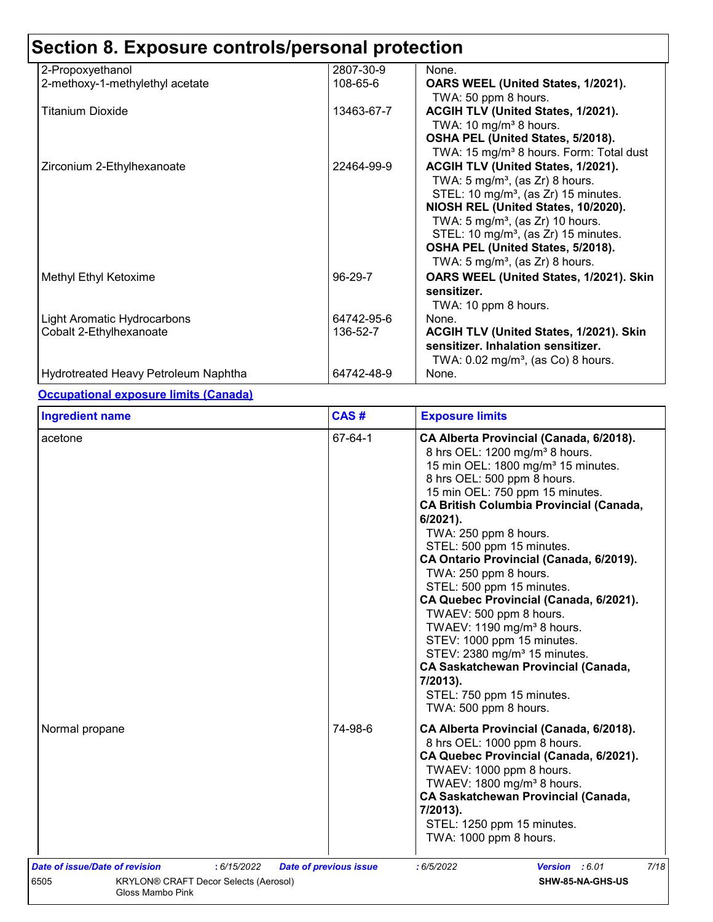| 2-Propoxyethanol                     | 2807-30-9  | None.                                                                                 |
|--------------------------------------|------------|---------------------------------------------------------------------------------------|
| 2-methoxy-1-methylethyl acetate      | 108-65-6   | OARS WEEL (United States, 1/2021).                                                    |
| Titanium Dioxide                     | 13463-67-7 | TWA: 50 ppm 8 hours.<br>ACGIH TLV (United States, 1/2021).                            |
|                                      |            | TWA: 10 mg/m <sup>3</sup> 8 hours.<br>OSHA PEL (United States, 5/2018).               |
|                                      |            | TWA: 15 mg/m <sup>3</sup> 8 hours. Form: Total dust                                   |
| Zirconium 2-Ethylhexanoate           | 22464-99-9 | ACGIH TLV (United States, 1/2021).                                                    |
|                                      |            | TWA: $5 \text{ mg/m}^3$ , (as Zr) 8 hours.                                            |
|                                      |            | STEL: 10 mg/m <sup>3</sup> , (as Zr) 15 minutes.                                      |
|                                      |            | NIOSH REL (United States, 10/2020).                                                   |
|                                      |            | TWA: $5 \text{ mg/m}^3$ , (as Zr) 10 hours.                                           |
|                                      |            | STEL: 10 mg/m <sup>3</sup> , (as Zr) 15 minutes.<br>OSHA PEL (United States, 5/2018). |
|                                      |            | TWA: 5 mg/m <sup>3</sup> , (as Zr) 8 hours.                                           |
| Methyl Ethyl Ketoxime                | 96-29-7    | OARS WEEL (United States, 1/2021). Skin                                               |
|                                      |            | sensitizer.                                                                           |
|                                      |            | TWA: 10 ppm 8 hours.                                                                  |
| Light Aromatic Hydrocarbons          | 64742-95-6 | None.                                                                                 |
| Cobalt 2-Ethylhexanoate              | 136-52-7   | ACGIH TLV (United States, 1/2021). Skin                                               |
|                                      |            | sensitizer. Inhalation sensitizer.                                                    |
|                                      | 64742-48-9 | TWA: $0.02$ mg/m <sup>3</sup> , (as Co) 8 hours.                                      |
| Hydrotreated Heavy Petroleum Naphtha |            | None.                                                                                 |

#### **Occupational exposure limits (Canada)**

| <b>Ingredient name</b>                                                                                | CAS#                          | <b>Exposure limits</b>                                                                                                                                                                                                                                                                                                                                                                                                                                                                                                                                                                                                                                                                                                                     |
|-------------------------------------------------------------------------------------------------------|-------------------------------|--------------------------------------------------------------------------------------------------------------------------------------------------------------------------------------------------------------------------------------------------------------------------------------------------------------------------------------------------------------------------------------------------------------------------------------------------------------------------------------------------------------------------------------------------------------------------------------------------------------------------------------------------------------------------------------------------------------------------------------------|
| acetone                                                                                               | 67-64-1                       | CA Alberta Provincial (Canada, 6/2018).<br>8 hrs OEL: 1200 mg/m <sup>3</sup> 8 hours.<br>15 min OEL: 1800 mg/m <sup>3</sup> 15 minutes.<br>8 hrs OEL: 500 ppm 8 hours.<br>15 min OEL: 750 ppm 15 minutes.<br><b>CA British Columbia Provincial (Canada,</b><br>$6/2021$ ).<br>TWA: 250 ppm 8 hours.<br>STEL: 500 ppm 15 minutes.<br>CA Ontario Provincial (Canada, 6/2019).<br>TWA: 250 ppm 8 hours.<br>STEL: 500 ppm 15 minutes.<br>CA Quebec Provincial (Canada, 6/2021).<br>TWAEV: 500 ppm 8 hours.<br>TWAEV: 1190 mg/m <sup>3</sup> 8 hours.<br>STEV: 1000 ppm 15 minutes.<br>STEV: 2380 mg/m <sup>3</sup> 15 minutes.<br><b>CA Saskatchewan Provincial (Canada,</b><br>7/2013).<br>STEL: 750 ppm 15 minutes.<br>TWA: 500 ppm 8 hours. |
| Normal propane                                                                                        | 74-98-6                       | CA Alberta Provincial (Canada, 6/2018).<br>8 hrs OEL: 1000 ppm 8 hours.<br>CA Quebec Provincial (Canada, 6/2021).<br>TWAEV: 1000 ppm 8 hours.<br>TWAEV: 1800 mg/m <sup>3</sup> 8 hours.<br><b>CA Saskatchewan Provincial (Canada,</b><br>7/2013).<br>STEL: 1250 ppm 15 minutes.<br>TWA: 1000 ppm 8 hours.                                                                                                                                                                                                                                                                                                                                                                                                                                  |
| Date of issue/Date of revision<br>: 6/15/2022<br>6505<br><b>KRYLON® CRAFT Decor Selects (Aerosol)</b> | <b>Date of previous issue</b> | 7/18<br>: 6/5/2022<br>Version : 6.01<br>SHW-85-NA-GHS-US                                                                                                                                                                                                                                                                                                                                                                                                                                                                                                                                                                                                                                                                                   |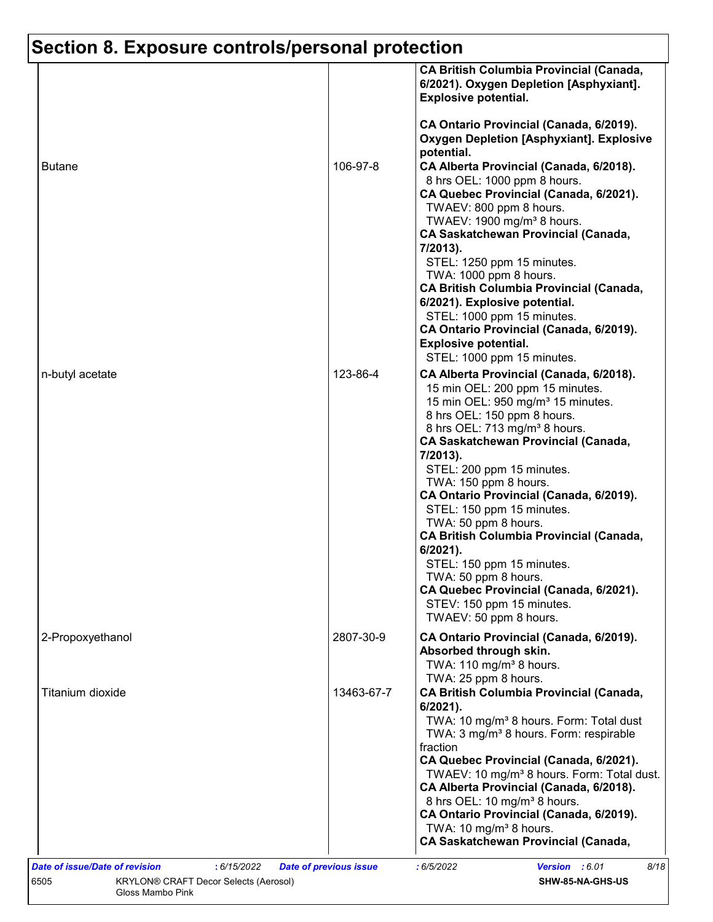|                  |            | 6/2021). Oxygen Depletion [Asphyxiant].<br><b>Explosive potential.</b><br>CA Ontario Provincial (Canada, 6/2019).                                                                                                                                                                                                      |
|------------------|------------|------------------------------------------------------------------------------------------------------------------------------------------------------------------------------------------------------------------------------------------------------------------------------------------------------------------------|
|                  |            | <b>Oxygen Depletion [Asphyxiant]. Explosive</b><br>potential.                                                                                                                                                                                                                                                          |
| <b>Butane</b>    | 106-97-8   | CA Alberta Provincial (Canada, 6/2018).<br>8 hrs OEL: 1000 ppm 8 hours.<br>CA Quebec Provincial (Canada, 6/2021).<br>TWAEV: 800 ppm 8 hours.                                                                                                                                                                           |
|                  |            | TWAEV: 1900 mg/m <sup>3</sup> 8 hours.<br><b>CA Saskatchewan Provincial (Canada,</b><br>7/2013).<br>STEL: 1250 ppm 15 minutes.                                                                                                                                                                                         |
|                  |            | TWA: 1000 ppm 8 hours.<br><b>CA British Columbia Provincial (Canada,</b><br>6/2021). Explosive potential.<br>STEL: 1000 ppm 15 minutes.<br>CA Ontario Provincial (Canada, 6/2019).                                                                                                                                     |
|                  |            | <b>Explosive potential.</b><br>STEL: 1000 ppm 15 minutes.                                                                                                                                                                                                                                                              |
| n-butyl acetate  | 123-86-4   | CA Alberta Provincial (Canada, 6/2018).<br>15 min OEL: 200 ppm 15 minutes.<br>15 min OEL: 950 mg/m <sup>3</sup> 15 minutes.<br>8 hrs OEL: 150 ppm 8 hours.<br>8 hrs OEL: 713 mg/m <sup>3</sup> 8 hours.<br><b>CA Saskatchewan Provincial (Canada,</b><br>7/2013).                                                      |
|                  |            | STEL: 200 ppm 15 minutes.<br>TWA: 150 ppm 8 hours.<br>CA Ontario Provincial (Canada, 6/2019).<br>STEL: 150 ppm 15 minutes.<br>TWA: 50 ppm 8 hours.<br><b>CA British Columbia Provincial (Canada,</b>                                                                                                                   |
|                  |            | $6/2021$ ).<br>STEL: 150 ppm 15 minutes.<br>TWA: 50 ppm 8 hours.<br>CA Quebec Provincial (Canada, 6/2021).<br>STEV: 150 ppm 15 minutes.<br>TWAEV: 50 ppm 8 hours.                                                                                                                                                      |
| 2-Propoxyethanol | 2807-30-9  | CA Ontario Provincial (Canada, 6/2019).<br>Absorbed through skin.<br>TWA: 110 mg/m <sup>3</sup> 8 hours.                                                                                                                                                                                                               |
| Titanium dioxide | 13463-67-7 | TWA: 25 ppm 8 hours.<br><b>CA British Columbia Provincial (Canada,</b><br>6/2021).<br>TWA: 10 mg/m <sup>3</sup> 8 hours. Form: Total dust<br>TWA: 3 mg/m <sup>3</sup> 8 hours. Form: respirable<br>fraction                                                                                                            |
|                  |            | CA Quebec Provincial (Canada, 6/2021).<br>TWAEV: 10 mg/m <sup>3</sup> 8 hours. Form: Total dust.<br>CA Alberta Provincial (Canada, 6/2018).<br>8 hrs OEL: 10 mg/m <sup>3</sup> 8 hours.<br>CA Ontario Provincial (Canada, 6/2019).<br>TWA: 10 mg/m <sup>3</sup> 8 hours.<br><b>CA Saskatchewan Provincial (Canada,</b> |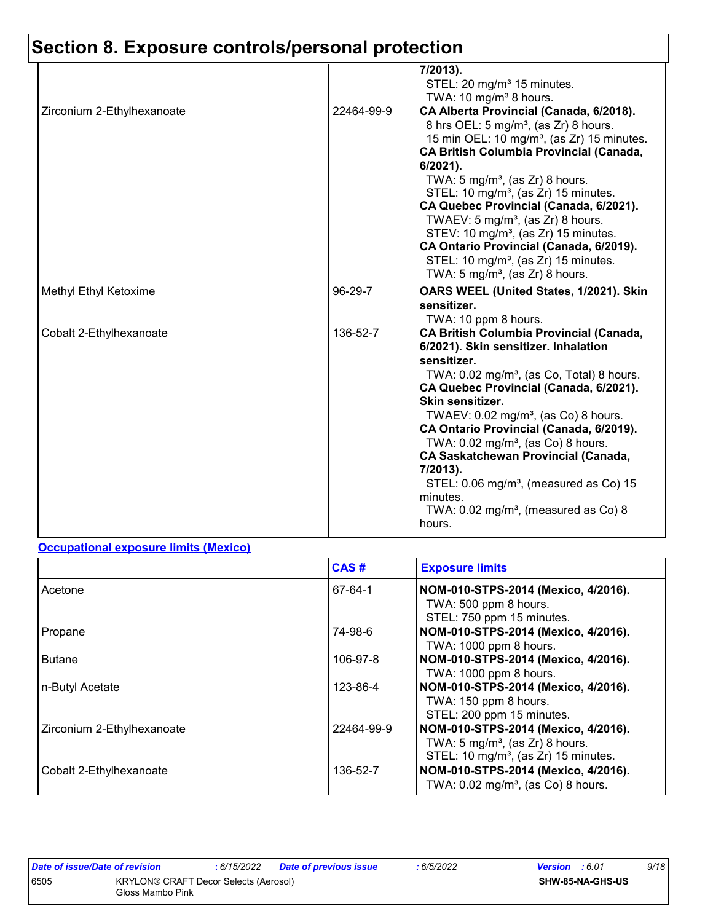|                            |            | 7/2013).<br>STEL: 20 mg/m <sup>3</sup> 15 minutes.<br>TWA: 10 mg/m <sup>3</sup> 8 hours.                                                                                                                                                                                                                                                                                                                                                                                                                                                                                                                           |
|----------------------------|------------|--------------------------------------------------------------------------------------------------------------------------------------------------------------------------------------------------------------------------------------------------------------------------------------------------------------------------------------------------------------------------------------------------------------------------------------------------------------------------------------------------------------------------------------------------------------------------------------------------------------------|
| Zirconium 2-Ethylhexanoate | 22464-99-9 | CA Alberta Provincial (Canada, 6/2018).<br>8 hrs OEL: 5 mg/m <sup>3</sup> , (as Zr) 8 hours.<br>15 min OEL: 10 mg/m <sup>3</sup> , (as Zr) 15 minutes.<br><b>CA British Columbia Provincial (Canada,</b><br>6/2021).<br>TWA: $5 \text{ mg/m}^3$ , (as Zr) 8 hours.<br>STEL: 10 mg/m <sup>3</sup> , (as Zr) 15 minutes.<br>CA Quebec Provincial (Canada, 6/2021).<br>TWAEV: 5 mg/m <sup>3</sup> , (as Zr) 8 hours.<br>STEV: 10 mg/m <sup>3</sup> , (as Zr) 15 minutes.<br>CA Ontario Provincial (Canada, 6/2019).<br>STEL: 10 mg/m <sup>3</sup> , (as Zr) 15 minutes.<br>TWA: $5 \text{ mg/m}^3$ , (as Zr) 8 hours. |
| Methyl Ethyl Ketoxime      | 96-29-7    | OARS WEEL (United States, 1/2021). Skin<br>sensitizer.<br>TWA: 10 ppm 8 hours.                                                                                                                                                                                                                                                                                                                                                                                                                                                                                                                                     |
| Cobalt 2-Ethylhexanoate    | 136-52-7   | <b>CA British Columbia Provincial (Canada,</b><br>6/2021). Skin sensitizer. Inhalation<br>sensitizer.<br>TWA: 0.02 mg/m <sup>3</sup> , (as Co, Total) 8 hours.<br>CA Quebec Provincial (Canada, 6/2021).<br>Skin sensitizer.<br>TWAEV: 0.02 mg/m <sup>3</sup> , (as Co) 8 hours.<br>CA Ontario Provincial (Canada, 6/2019).<br>TWA: $0.02$ mg/m <sup>3</sup> , (as Co) 8 hours.<br><b>CA Saskatchewan Provincial (Canada,</b><br>7/2013).<br>STEL: $0.06$ mg/m <sup>3</sup> , (measured as Co) 15<br>minutes.<br>TWA: $0.02 \text{ mg/m}^3$ , (measured as Co) 8<br>hours.                                         |

#### **Occupational exposure limits (Mexico)**

|                            | CAS#       | <b>Exposure limits</b>                                                                                                                |
|----------------------------|------------|---------------------------------------------------------------------------------------------------------------------------------------|
| Acetone                    | 67-64-1    | NOM-010-STPS-2014 (Mexico, 4/2016).<br>TWA: 500 ppm 8 hours.<br>STEL: 750 ppm 15 minutes.                                             |
| Propane                    | 74-98-6    | NOM-010-STPS-2014 (Mexico, 4/2016).<br>TWA: 1000 ppm 8 hours.                                                                         |
| <b>Butane</b>              | 106-97-8   | NOM-010-STPS-2014 (Mexico, 4/2016).<br>TWA: 1000 ppm 8 hours.                                                                         |
| n-Butyl Acetate            | 123-86-4   | NOM-010-STPS-2014 (Mexico, 4/2016).<br>TWA: 150 ppm 8 hours.<br>STEL: 200 ppm 15 minutes.                                             |
| Zirconium 2-Ethylhexanoate | 22464-99-9 | NOM-010-STPS-2014 (Mexico, 4/2016).<br>TWA: $5 \text{ mg/m}^3$ , (as Zr) 8 hours.<br>STEL: 10 mg/m <sup>3</sup> , (as Zr) 15 minutes. |
| Cobalt 2-Ethylhexanoate    | 136-52-7   | NOM-010-STPS-2014 (Mexico, 4/2016).<br>TWA: 0.02 mg/m <sup>3</sup> , (as Co) 8 hours.                                                 |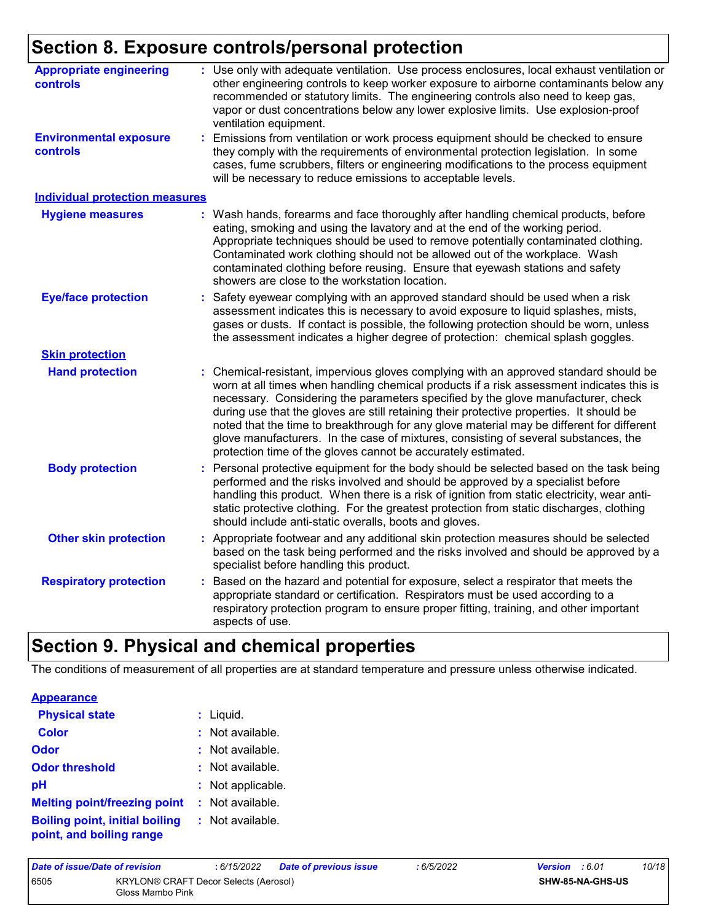| <b>Appropriate engineering</b><br>controls       | Use only with adequate ventilation. Use process enclosures, local exhaust ventilation or<br>other engineering controls to keep worker exposure to airborne contaminants below any<br>recommended or statutory limits. The engineering controls also need to keep gas,<br>vapor or dust concentrations below any lower explosive limits. Use explosion-proof<br>ventilation equipment.                                                                                                                                                                                                                                |  |
|--------------------------------------------------|----------------------------------------------------------------------------------------------------------------------------------------------------------------------------------------------------------------------------------------------------------------------------------------------------------------------------------------------------------------------------------------------------------------------------------------------------------------------------------------------------------------------------------------------------------------------------------------------------------------------|--|
| <b>Environmental exposure</b><br><b>controls</b> | Emissions from ventilation or work process equipment should be checked to ensure<br>they comply with the requirements of environmental protection legislation. In some<br>cases, fume scrubbers, filters or engineering modifications to the process equipment<br>will be necessary to reduce emissions to acceptable levels.                                                                                                                                                                                                                                                                                        |  |
| <b>Individual protection measures</b>            |                                                                                                                                                                                                                                                                                                                                                                                                                                                                                                                                                                                                                      |  |
| <b>Hygiene measures</b>                          | Wash hands, forearms and face thoroughly after handling chemical products, before<br>eating, smoking and using the lavatory and at the end of the working period.<br>Appropriate techniques should be used to remove potentially contaminated clothing.<br>Contaminated work clothing should not be allowed out of the workplace. Wash<br>contaminated clothing before reusing. Ensure that eyewash stations and safety<br>showers are close to the workstation location.                                                                                                                                            |  |
| <b>Eye/face protection</b>                       | Safety eyewear complying with an approved standard should be used when a risk<br>assessment indicates this is necessary to avoid exposure to liquid splashes, mists,<br>gases or dusts. If contact is possible, the following protection should be worn, unless<br>the assessment indicates a higher degree of protection: chemical splash goggles.                                                                                                                                                                                                                                                                  |  |
| <b>Skin protection</b>                           |                                                                                                                                                                                                                                                                                                                                                                                                                                                                                                                                                                                                                      |  |
| <b>Hand protection</b>                           | Chemical-resistant, impervious gloves complying with an approved standard should be<br>worn at all times when handling chemical products if a risk assessment indicates this is<br>necessary. Considering the parameters specified by the glove manufacturer, check<br>during use that the gloves are still retaining their protective properties. It should be<br>noted that the time to breakthrough for any glove material may be different for different<br>glove manufacturers. In the case of mixtures, consisting of several substances, the<br>protection time of the gloves cannot be accurately estimated. |  |
| <b>Body protection</b>                           | Personal protective equipment for the body should be selected based on the task being<br>performed and the risks involved and should be approved by a specialist before<br>handling this product. When there is a risk of ignition from static electricity, wear anti-<br>static protective clothing. For the greatest protection from static discharges, clothing<br>should include anti-static overalls, boots and gloves.                                                                                                                                                                                         |  |
| <b>Other skin protection</b>                     | : Appropriate footwear and any additional skin protection measures should be selected<br>based on the task being performed and the risks involved and should be approved by a<br>specialist before handling this product.                                                                                                                                                                                                                                                                                                                                                                                            |  |
| <b>Respiratory protection</b>                    | Based on the hazard and potential for exposure, select a respirator that meets the<br>appropriate standard or certification. Respirators must be used according to a<br>respiratory protection program to ensure proper fitting, training, and other important<br>aspects of use.                                                                                                                                                                                                                                                                                                                                    |  |

### **Section 9. Physical and chemical properties**

The conditions of measurement of all properties are at standard temperature and pressure unless otherwise indicated.

| <b>Appearance</b> |
|-------------------|
|-------------------|

| <b>Physical state</b>                                             | $:$ Liquid.        |
|-------------------------------------------------------------------|--------------------|
| <b>Color</b>                                                      | : Not available.   |
| <b>Odor</b>                                                       | $:$ Not available. |
| <b>Odor threshold</b>                                             | : Not available.   |
| рH                                                                | : Not applicable.  |
| <b>Melting point/freezing point</b>                               | : Not available.   |
| <b>Boiling point, initial boiling</b><br>point, and boiling range | : Not available.   |

| Date of issue/Date of revision |                                                           | : 6/15/2022 | <b>Date of previous issue</b> | :6/5/2022 | <b>Version</b> : 6.01 |                  | 10/18 |
|--------------------------------|-----------------------------------------------------------|-------------|-------------------------------|-----------|-----------------------|------------------|-------|
| 6505                           | KRYLON® CRAFT Decor Selects (Aerosol)<br>Gloss Mambo Pink |             |                               |           |                       | SHW-85-NA-GHS-US |       |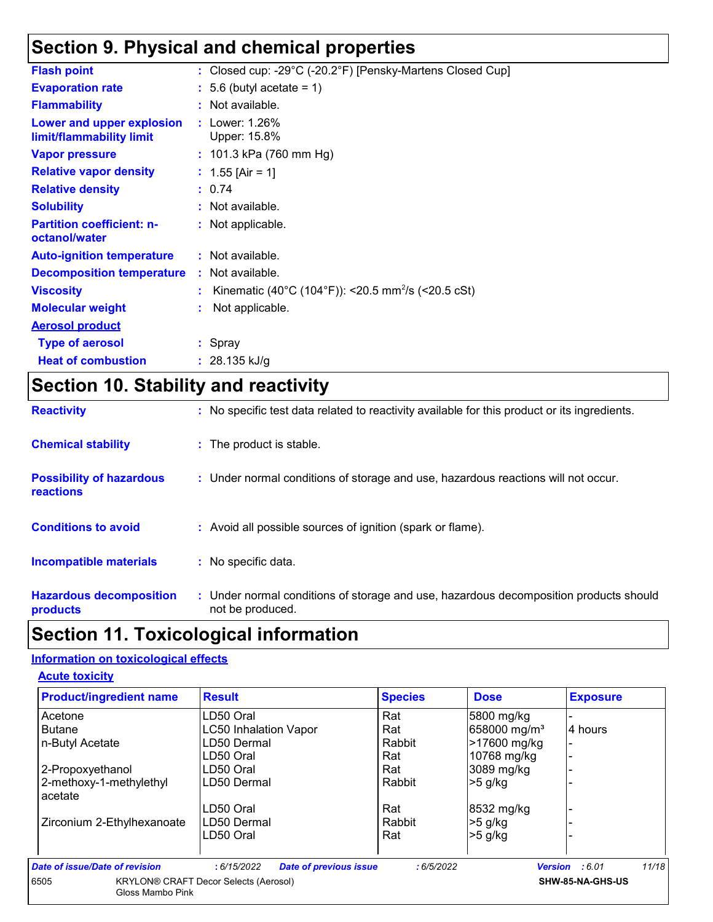## **Section 9. Physical and chemical properties**

| <b>Flash point</b>                                    | : Closed cup: -29°C (-20.2°F) [Pensky-Martens Closed Cup]      |
|-------------------------------------------------------|----------------------------------------------------------------|
| <b>Evaporation rate</b>                               | $: 5.6$ (butyl acetate = 1)                                    |
| <b>Flammability</b>                                   | : Not available.                                               |
| Lower and upper explosion<br>limit/flammability limit | : Lower: $1.26\%$<br>Upper: 15.8%                              |
| <b>Vapor pressure</b>                                 | : $101.3$ kPa (760 mm Hg)                                      |
| <b>Relative vapor density</b>                         | : $1.55$ [Air = 1]                                             |
| <b>Relative density</b>                               | : 0.74                                                         |
| <b>Solubility</b>                                     | : Not available.                                               |
| <b>Partition coefficient: n-</b><br>octanol/water     | : Not applicable.                                              |
| <b>Auto-ignition temperature</b>                      | : Not available.                                               |
| <b>Decomposition temperature</b>                      | : Not available.                                               |
| <b>Viscosity</b>                                      | Kinematic (40°C (104°F)): <20.5 mm <sup>2</sup> /s (<20.5 cSt) |
| <b>Molecular weight</b>                               | Not applicable.                                                |
| <b>Aerosol product</b>                                |                                                                |
| <b>Type of aerosol</b>                                | : Spray                                                        |
| <b>Heat of combustion</b>                             | : $28.135$ kJ/g                                                |
|                                                       |                                                                |

## **Section 10. Stability and reactivity**

| <b>Reactivity</b>                            | : No specific test data related to reactivity available for this product or its ingredients.              |
|----------------------------------------------|-----------------------------------------------------------------------------------------------------------|
| <b>Chemical stability</b>                    | : The product is stable.                                                                                  |
| <b>Possibility of hazardous</b><br>reactions | : Under normal conditions of storage and use, hazardous reactions will not occur.                         |
| <b>Conditions to avoid</b>                   | : Avoid all possible sources of ignition (spark or flame).                                                |
| Incompatible materials                       | : No specific data.                                                                                       |
| <b>Hazardous decomposition</b><br>products   | : Under normal conditions of storage and use, hazardous decomposition products should<br>not be produced. |

# **Section 11. Toxicological information**

#### **Information on toxicological effects**

| <b>Product/ingredient name</b>     | <b>Result</b>                                | <b>Species</b> | <b>Dose</b>              | <b>Exposure</b>                |
|------------------------------------|----------------------------------------------|----------------|--------------------------|--------------------------------|
| Acetone                            | LD50 Oral                                    | Rat            | 5800 mg/kg               |                                |
| <b>Butane</b>                      | <b>LC50 Inhalation Vapor</b>                 | Rat            | 658000 mg/m <sup>3</sup> | 4 hours                        |
| n-Butyl Acetate                    | LD50 Dermal                                  | Rabbit         | >17600 mg/kg             |                                |
|                                    | LD50 Oral                                    | Rat            | 10768 mg/kg              |                                |
| 2-Propoxyethanol                   | LD50 Oral                                    | Rat            | 3089 mg/kg               |                                |
| 2-methoxy-1-methylethyl<br>acetate | LD50 Dermal                                  | Rabbit         | $>5$ g/kg                |                                |
|                                    | LD50 Oral                                    | Rat            | 8532 mg/kg               |                                |
| Zirconium 2-Ethylhexanoate         | LD50 Dermal                                  | Rabbit         | $>5$ g/kg                |                                |
|                                    | LD50 Oral                                    | Rat            | $>5$ g/kg                |                                |
| Date of issue/Date of revision     | : 6/15/2022<br><b>Date of previous issue</b> | :6/5/2022      |                          | 11/18<br><b>Version</b> : 6.01 |
| 6505<br>Gloss Mambo Pink           | <b>KRYLON® CRAFT Decor Selects (Aerosol)</b> |                |                          | SHW-85-NA-GHS-US               |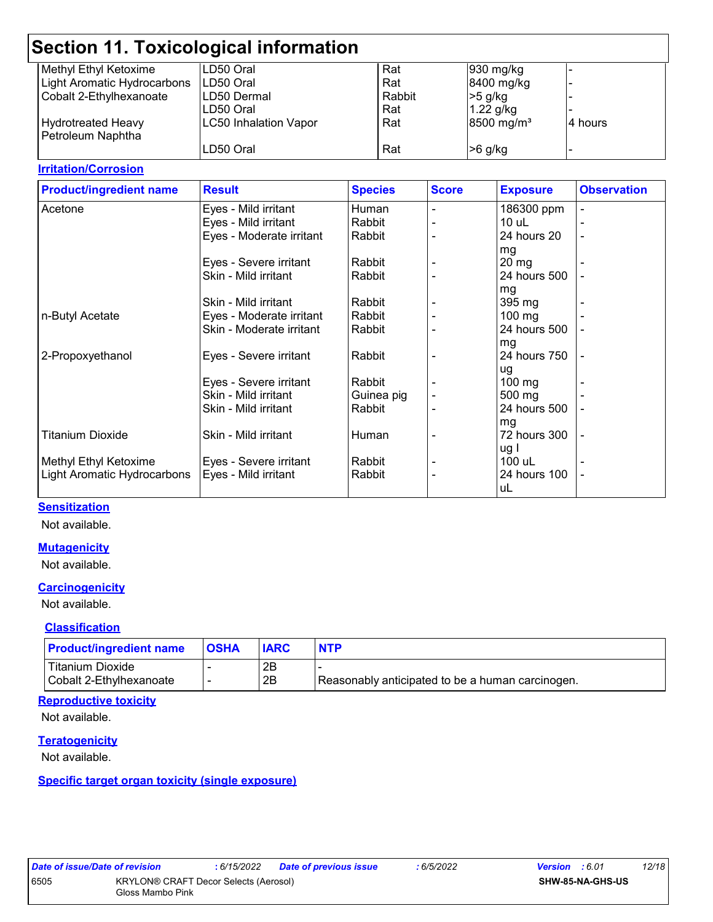| <b>Section 11. Toxicological information</b> |                              |        |                        |         |  |
|----------------------------------------------|------------------------------|--------|------------------------|---------|--|
| Methyl Ethyl Ketoxime                        | LD50 Oral                    | Rat    | 930 mg/kg              |         |  |
| Light Aromatic Hydrocarbons                  | LD50 Oral                    | Rat    | 8400 mg/kg             |         |  |
| Cobalt 2-Ethylhexanoate                      | LD50 Dermal                  | Rabbit | $>5$ g/kg              |         |  |
|                                              | LD50 Oral                    | Rat    | $1.22$ g/kg            |         |  |
| <b>Hydrotreated Heavy</b>                    | <b>LC50 Inhalation Vapor</b> | Rat    | 8500 mg/m <sup>3</sup> | 4 hours |  |
| Petroleum Naphtha                            |                              |        |                        |         |  |
|                                              | LD50 Oral                    | Rat    | $>6$ g/kg              |         |  |
|                                              |                              |        |                        |         |  |

#### **Irritation/Corrosion**

| <b>Product/ingredient name</b> | <b>Result</b>            | <b>Species</b> | <b>Score</b> | <b>Exposure</b>  | <b>Observation</b> |
|--------------------------------|--------------------------|----------------|--------------|------------------|--------------------|
| Acetone                        | Eyes - Mild irritant     | Human          |              | 186300 ppm       |                    |
|                                | Eyes - Mild irritant     | Rabbit         |              | $10$ uL          |                    |
|                                | Eyes - Moderate irritant | Rabbit         |              | 24 hours 20      | $\blacksquare$     |
|                                |                          |                |              | mg               |                    |
|                                | Eyes - Severe irritant   | Rabbit         |              | $20 \, mg$       |                    |
|                                | Skin - Mild irritant     | Rabbit         |              | 24 hours 500     |                    |
|                                |                          |                |              | mg               |                    |
|                                | Skin - Mild irritant     | Rabbit         |              | 395 mg           |                    |
| n-Butyl Acetate                | Eyes - Moderate irritant | Rabbit         |              | 100 mg           |                    |
|                                | Skin - Moderate irritant | Rabbit         |              | 24 hours 500     |                    |
|                                |                          |                |              | mg               |                    |
| 2-Propoxyethanol               | Eyes - Severe irritant   | Rabbit         |              | 24 hours 750     |                    |
|                                |                          |                |              | ug               |                    |
|                                | Eyes - Severe irritant   | Rabbit         |              | $100 \text{ mg}$ |                    |
|                                | Skin - Mild irritant     | Guinea pig     |              | 500 mg           |                    |
|                                | Skin - Mild irritant     | Rabbit         |              | 24 hours 500     |                    |
|                                |                          |                |              | mg               |                    |
| <b>Titanium Dioxide</b>        | Skin - Mild irritant     | Human          |              | 72 hours 300     |                    |
|                                |                          |                |              | ug I             |                    |
| Methyl Ethyl Ketoxime          | Eyes - Severe irritant   | Rabbit         |              | 100 uL           |                    |
| Light Aromatic Hydrocarbons    | Eyes - Mild irritant     | Rabbit         |              | 24 hours 100     | ۰                  |
|                                |                          |                |              | uL               |                    |

#### **Sensitization**

Not available.

#### **Mutagenicity**

Not available.

#### **Carcinogenicity**

Not available.

#### **Classification**

| <b>Product/ingredient name</b> | <b>OSHA</b> | <b>IARC</b> | <b>NTP</b>                                       |
|--------------------------------|-------------|-------------|--------------------------------------------------|
| Titanium Dioxide               |             | 2B          |                                                  |
| Cobalt 2-Ethylhexanoate        | -           | 2B          | Reasonably anticipated to be a human carcinogen. |

#### **Reproductive toxicity**

Not available.

#### **Teratogenicity**

Not available.

#### **Specific target organ toxicity (single exposure)**

|     | ate of issue/Date of revisior |                |
|-----|-------------------------------|----------------|
| i05 |                               | <b>KRYLON®</b> |
|     |                               | Gloss Mar      |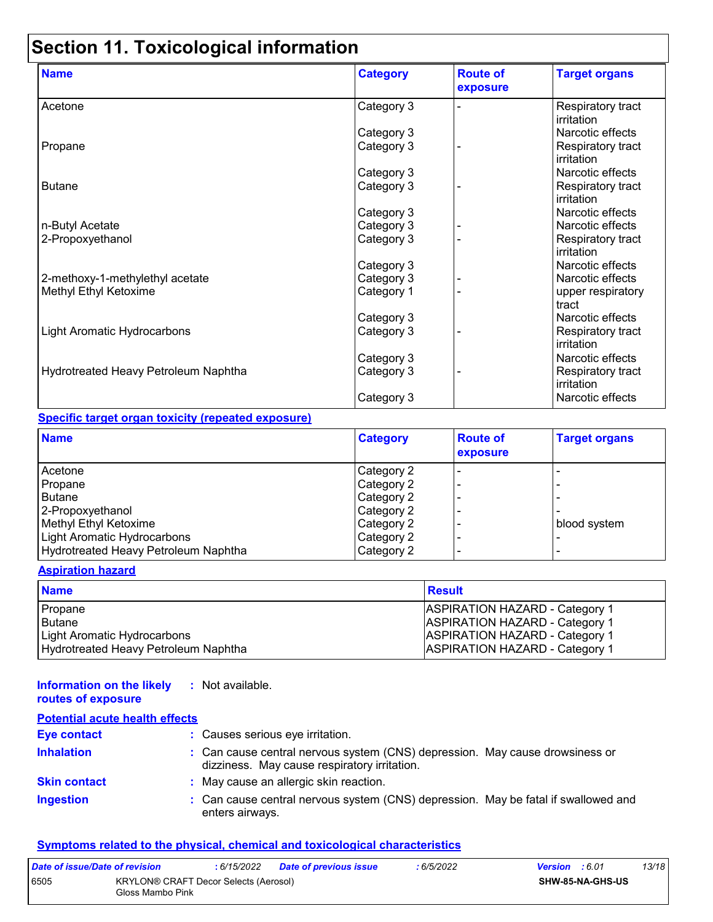# **Section 11. Toxicological information**

| <b>Name</b>                          | <b>Category</b> | <b>Route of</b><br>exposure | <b>Target organs</b>            |
|--------------------------------------|-----------------|-----------------------------|---------------------------------|
| Acetone                              | Category 3      |                             | Respiratory tract<br>irritation |
|                                      | Category 3      |                             | Narcotic effects                |
| Propane                              | Category 3      |                             | Respiratory tract<br>irritation |
|                                      | Category 3      |                             | Narcotic effects                |
| <b>Butane</b>                        | Category 3      |                             | Respiratory tract<br>irritation |
|                                      | Category 3      |                             | Narcotic effects                |
| n-Butyl Acetate                      | Category 3      |                             | Narcotic effects                |
| 2-Propoxyethanol                     | Category 3      |                             | Respiratory tract<br>irritation |
|                                      | Category 3      |                             | Narcotic effects                |
| 2-methoxy-1-methylethyl acetate      | Category 3      |                             | Narcotic effects                |
| Methyl Ethyl Ketoxime                | Category 1      |                             | upper respiratory<br>tract      |
|                                      | Category 3      |                             | Narcotic effects                |
| <b>Light Aromatic Hydrocarbons</b>   | Category 3      |                             | Respiratory tract<br>irritation |
|                                      | Category 3      |                             | Narcotic effects                |
| Hydrotreated Heavy Petroleum Naphtha | Category 3      |                             | Respiratory tract<br>irritation |
|                                      | Category 3      |                             | Narcotic effects                |

#### **Specific target organ toxicity (repeated exposure)**

| <b>Name</b>                          | <b>Category</b>   | <b>Route of</b><br>exposure | <b>Target organs</b> |
|--------------------------------------|-------------------|-----------------------------|----------------------|
| Acetone                              | <b>Category 2</b> |                             |                      |
| Propane                              | Category 2        |                             |                      |
| <b>Butane</b>                        | Category 2        |                             |                      |
| 2-Propoxyethanol                     | Category 2        |                             |                      |
| Methyl Ethyl Ketoxime                | Category 2        |                             | blood system         |
| Light Aromatic Hydrocarbons          | Category 2        |                             |                      |
| Hydrotreated Heavy Petroleum Naphtha | Category 2        |                             |                      |

#### **Aspiration hazard**

| <b>Name</b>                          | <b>Result</b>                         |
|--------------------------------------|---------------------------------------|
| Propane                              | <b>ASPIRATION HAZARD - Category 1</b> |
| <b>Butane</b>                        | <b>ASPIRATION HAZARD - Category 1</b> |
| Light Aromatic Hydrocarbons          | <b>ASPIRATION HAZARD - Category 1</b> |
| Hydrotreated Heavy Petroleum Naphtha | <b>ASPIRATION HAZARD - Category 1</b> |

#### **Information on the likely :** Not available.

#### **routes of exposure Potential acute health effects**

| Potential acute nealth effects |                                                                                                                              |
|--------------------------------|------------------------------------------------------------------------------------------------------------------------------|
| <b>Eye contact</b>             | : Causes serious eye irritation.                                                                                             |
| <b>Inhalation</b>              | : Can cause central nervous system (CNS) depression. May cause drowsiness or<br>dizziness. May cause respiratory irritation. |
| <b>Skin contact</b>            | : May cause an allergic skin reaction.                                                                                       |
| <b>Ingestion</b>               | : Can cause central nervous system (CNS) depression. May be fatal if swallowed and<br>enters airways.                        |

#### **Symptoms related to the physical, chemical and toxicological characteristics**

| Date of issue/Date of revision                                           |  | : 6/15/2022 | <b>Date of previous issue</b> | : 6/5/2022              | <b>Version</b> : 6.01 |  | 13/18 |
|--------------------------------------------------------------------------|--|-------------|-------------------------------|-------------------------|-----------------------|--|-------|
| 6505<br><b>KRYLON® CRAFT Decor Selects (Aerosol)</b><br>Gloss Mambo Pink |  |             |                               | <b>SHW-85-NA-GHS-US</b> |                       |  |       |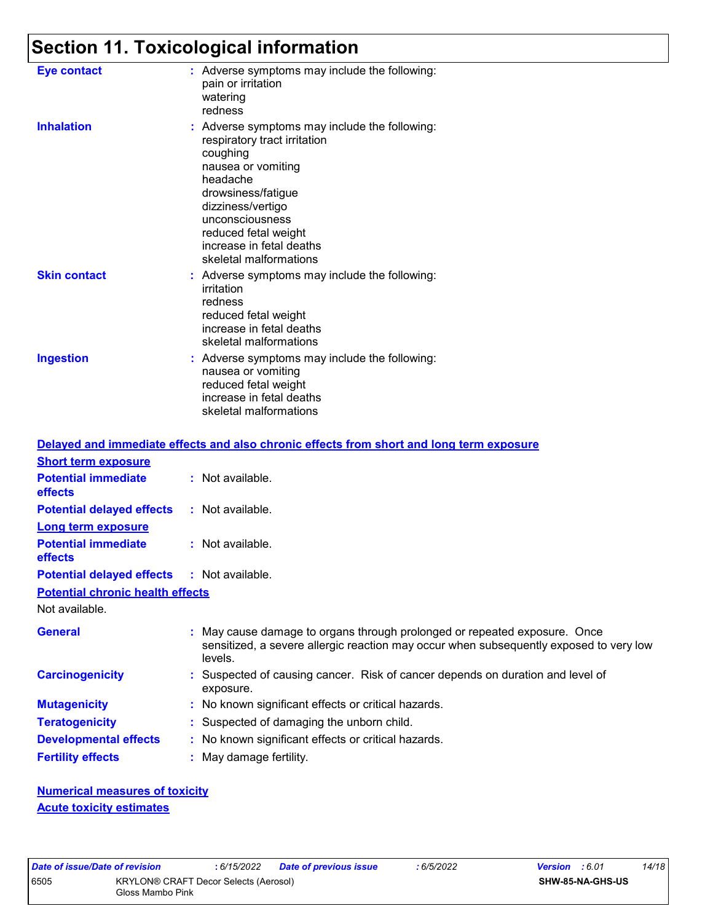# **Section 11. Toxicological information**

| Eye contact         | : Adverse symptoms may include the following:<br>pain or irritation<br>watering<br>redness                                                                                                                                                                              |
|---------------------|-------------------------------------------------------------------------------------------------------------------------------------------------------------------------------------------------------------------------------------------------------------------------|
| <b>Inhalation</b>   | : Adverse symptoms may include the following:<br>respiratory tract irritation<br>coughing<br>nausea or vomiting<br>headache<br>drowsiness/fatigue<br>dizziness/vertigo<br>unconsciousness<br>reduced fetal weight<br>increase in fetal deaths<br>skeletal malformations |
| <b>Skin contact</b> | : Adverse symptoms may include the following:<br>irritation<br>redness<br>reduced fetal weight<br>increase in fetal deaths<br>skeletal malformations                                                                                                                    |
| <b>Ingestion</b>    | : Adverse symptoms may include the following:<br>nausea or vomiting<br>reduced fetal weight<br>increase in fetal deaths<br>skeletal malformations                                                                                                                       |

|                                                   | Delayed and immediate effects and also chronic effects from short and long term exposure                                                                                       |
|---------------------------------------------------|--------------------------------------------------------------------------------------------------------------------------------------------------------------------------------|
| <b>Short term exposure</b>                        |                                                                                                                                                                                |
| <b>Potential immediate</b><br>effects             | : Not available.                                                                                                                                                               |
| <b>Potential delayed effects</b>                  | : Not available.                                                                                                                                                               |
| Long term exposure                                |                                                                                                                                                                                |
| <b>Potential immediate</b><br>effects             | : Not available.                                                                                                                                                               |
| <b>Potential delayed effects : Not available.</b> |                                                                                                                                                                                |
| <b>Potential chronic health effects</b>           |                                                                                                                                                                                |
| Not available.                                    |                                                                                                                                                                                |
| <b>General</b>                                    | : May cause damage to organs through prolonged or repeated exposure. Once<br>sensitized, a severe allergic reaction may occur when subsequently exposed to very low<br>levels. |
| <b>Carcinogenicity</b>                            | : Suspected of causing cancer. Risk of cancer depends on duration and level of<br>exposure.                                                                                    |
| <b>Mutagenicity</b>                               | : No known significant effects or critical hazards.                                                                                                                            |
| <b>Teratogenicity</b>                             | : Suspected of damaging the unborn child.                                                                                                                                      |
| <b>Developmental effects</b>                      | : No known significant effects or critical hazards.                                                                                                                            |
| <b>Fertility effects</b>                          | : May damage fertility.                                                                                                                                                        |

**Numerical measures of toxicity Acute toxicity estimates**

|      | Date of issue/Date of revision | : 6/15/2022                                  | Dat |
|------|--------------------------------|----------------------------------------------|-----|
| 6505 | Gloss Mambo Pink               | <b>KRYLON® CRAFT Decor Selects (Aerosol)</b> |     |

*Date of issue/Date of revision* **:** *6/15/2022 Date of previous issue : 6/5/2022 Version : 6.01 14/18*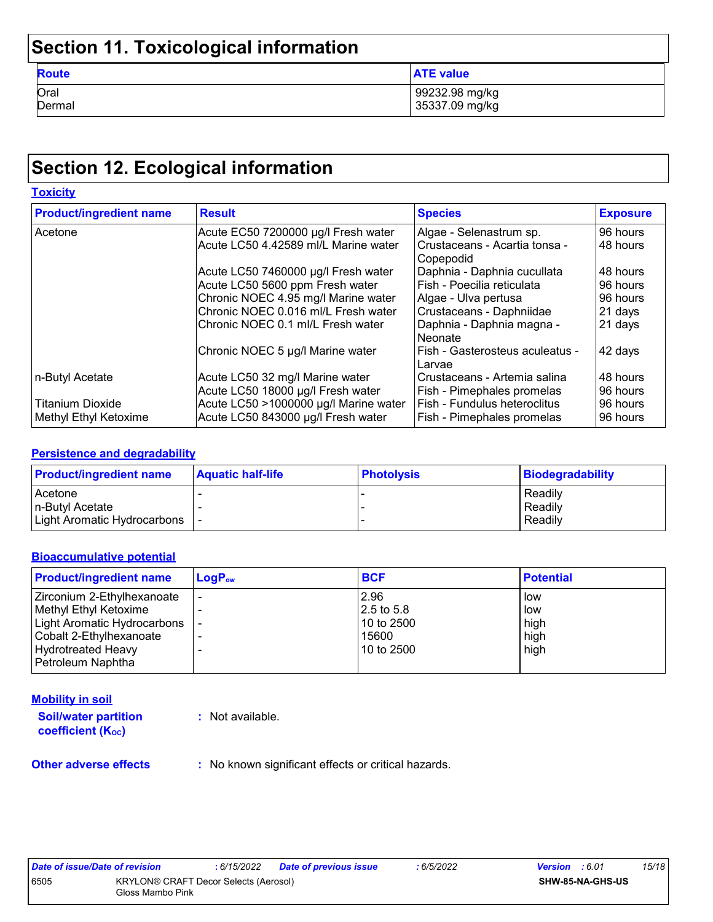## **Section 11. Toxicological information**

| <b>Route</b> | <b>ATE value</b> |
|--------------|------------------|
| Oral         | 99232.98 mg/kg   |
| Dermal       | 35337.09 mg/kg   |

### **Section 12. Ecological information**

| <b>Toxicity</b>                |                                       |                                                |                 |
|--------------------------------|---------------------------------------|------------------------------------------------|-----------------|
| <b>Product/ingredient name</b> | <b>Result</b>                         | <b>Species</b>                                 | <b>Exposure</b> |
| Acetone                        | Acute EC50 7200000 µg/l Fresh water   | Algae - Selenastrum sp.                        | 96 hours        |
|                                | Acute LC50 4.42589 ml/L Marine water  | l Crustaceans - Acartia tonsa -<br>l Copepodid | 48 hours        |
|                                | Acute LC50 7460000 µg/l Fresh water   | Daphnia - Daphnia cucullata                    | 48 hours        |
|                                | Acute LC50 5600 ppm Fresh water       | Fish - Poecilia reticulata                     | 96 hours        |
|                                | Chronic NOEC 4.95 mg/l Marine water   | Algae - Ulva pertusa                           | 96 hours        |
|                                | Chronic NOEC 0.016 ml/L Fresh water   | Crustaceans - Daphniidae                       | 21 days         |
|                                | Chronic NOEC 0.1 ml/L Fresh water     | Daphnia - Daphnia magna -<br>l Neonate         | 21 days         |
|                                | Chronic NOEC 5 µg/l Marine water      | Fish - Gasterosteus aculeatus -<br>Larvae      | 42 days         |
| n-Butyl Acetate                | Acute LC50 32 mg/l Marine water       | Crustaceans - Artemia salina                   | 48 hours        |
|                                | Acute LC50 18000 µg/l Fresh water     | Fish - Pimephales promelas                     | 96 hours        |
| <b>Titanium Dioxide</b>        | Acute LC50 >1000000 µg/l Marine water | Fish - Fundulus heteroclitus                   | 96 hours        |
| Methyl Ethyl Ketoxime          | Acute LC50 843000 µg/l Fresh water    | <b>Fish - Pimephales promelas</b>              | 96 hours        |

#### **Persistence and degradability**

| <b>Product/ingredient name</b> | <b>Aquatic half-life</b> | <b>Photolysis</b> | Biodegradability |
|--------------------------------|--------------------------|-------------------|------------------|
| Acetone                        |                          |                   | Readily          |
| In-Butvl Acetate               |                          |                   | Readily          |
| Light Aromatic Hydrocarbons    |                          |                   | Readily          |

#### **Bioaccumulative potential**

| $\mathsf{LogP}_\mathsf{ow}$ | <b>BCF</b> | <b>Potential</b> |
|-----------------------------|------------|------------------|
|                             | 2.96       | low              |
|                             | 2.5 to 5.8 | low              |
|                             | 10 to 2500 | high             |
|                             | 15600      | high             |
|                             | 10 to 2500 | high             |
|                             |            |                  |
|                             |            |                  |

#### **Mobility in soil**

**Soil/water partition coefficient (KOC)**

**:** Not available.

**Other adverse effects** : No known significant effects or critical hazards.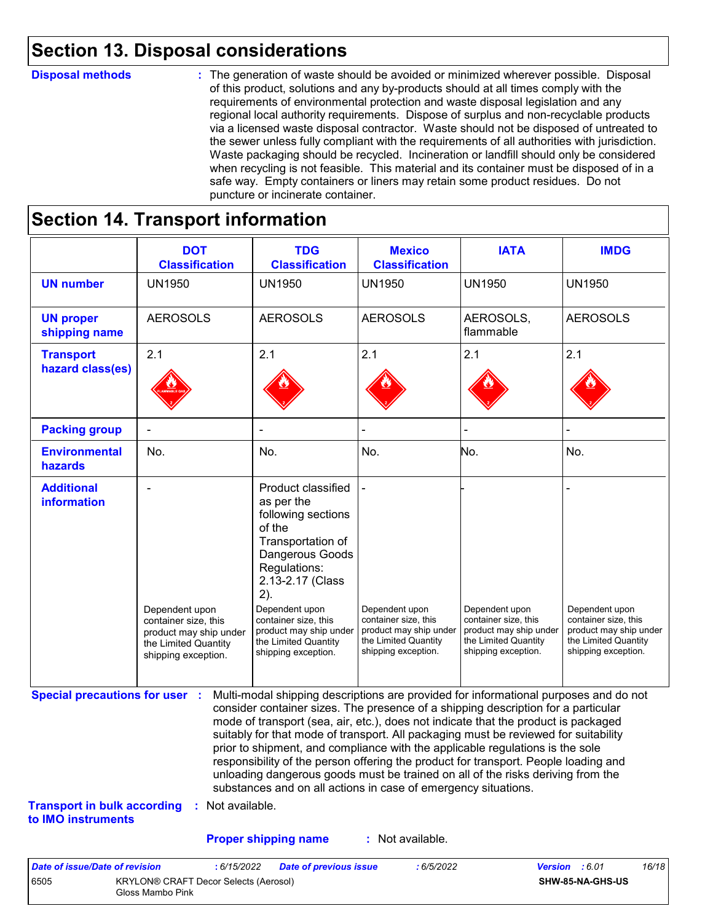### **Section 13. Disposal considerations**

#### **Disposal methods :**

The generation of waste should be avoided or minimized wherever possible. Disposal of this product, solutions and any by-products should at all times comply with the requirements of environmental protection and waste disposal legislation and any regional local authority requirements. Dispose of surplus and non-recyclable products via a licensed waste disposal contractor. Waste should not be disposed of untreated to the sewer unless fully compliant with the requirements of all authorities with jurisdiction. Waste packaging should be recycled. Incineration or landfill should only be considered when recycling is not feasible. This material and its container must be disposed of in a safe way. Empty containers or liners may retain some product residues. Do not puncture or incinerate container.

### **Section 14. Transport information**

6505 KRYLON® CRAFT Decor Selects (Aerosol) Gloss Mambo Pink

|                                                                             | <b>DOT</b><br><b>Classification</b>                                                                             | <b>TDG</b><br><b>Classification</b>                                                                                                                                                                                                                                                                                                                                                                                                                                                                                                                                                                                                                                                 | <b>Mexico</b><br><b>Classification</b>                                                                          | <b>IATA</b>                                                                                                     | <b>IMDG</b>                                                                                                     |
|-----------------------------------------------------------------------------|-----------------------------------------------------------------------------------------------------------------|-------------------------------------------------------------------------------------------------------------------------------------------------------------------------------------------------------------------------------------------------------------------------------------------------------------------------------------------------------------------------------------------------------------------------------------------------------------------------------------------------------------------------------------------------------------------------------------------------------------------------------------------------------------------------------------|-----------------------------------------------------------------------------------------------------------------|-----------------------------------------------------------------------------------------------------------------|-----------------------------------------------------------------------------------------------------------------|
| <b>UN number</b>                                                            | <b>UN1950</b>                                                                                                   | <b>UN1950</b>                                                                                                                                                                                                                                                                                                                                                                                                                                                                                                                                                                                                                                                                       | <b>UN1950</b>                                                                                                   | <b>UN1950</b>                                                                                                   | <b>UN1950</b>                                                                                                   |
| <b>UN proper</b><br>shipping name                                           | <b>AEROSOLS</b>                                                                                                 | <b>AEROSOLS</b>                                                                                                                                                                                                                                                                                                                                                                                                                                                                                                                                                                                                                                                                     | <b>AEROSOLS</b>                                                                                                 | AEROSOLS,<br>flammable                                                                                          | <b>AEROSOLS</b>                                                                                                 |
| <b>Transport</b><br>hazard class(es)                                        | 2.1                                                                                                             | 2.1                                                                                                                                                                                                                                                                                                                                                                                                                                                                                                                                                                                                                                                                                 | 2.1                                                                                                             | 2.1                                                                                                             | 2.1                                                                                                             |
| <b>Packing group</b>                                                        | ÷                                                                                                               | $\blacksquare$                                                                                                                                                                                                                                                                                                                                                                                                                                                                                                                                                                                                                                                                      |                                                                                                                 |                                                                                                                 |                                                                                                                 |
| <b>Environmental</b><br>hazards                                             | No.                                                                                                             | No.                                                                                                                                                                                                                                                                                                                                                                                                                                                                                                                                                                                                                                                                                 | No.                                                                                                             | No.                                                                                                             | No.                                                                                                             |
| <b>Additional</b><br>information                                            | Dependent upon<br>container size, this<br>product may ship under<br>the Limited Quantity<br>shipping exception. | Product classified<br>as per the<br>following sections<br>of the<br>Transportation of<br>Dangerous Goods<br>Regulations:<br>2.13-2.17 (Class<br>2).<br>Dependent upon<br>container size, this<br>product may ship under<br>the Limited Quantity<br>shipping exception.                                                                                                                                                                                                                                                                                                                                                                                                              | Dependent upon<br>container size, this<br>product may ship under<br>the Limited Quantity<br>shipping exception. | Dependent upon<br>container size, this<br>product may ship under<br>the Limited Quantity<br>shipping exception. | Dependent upon<br>container size, this<br>product may ship under<br>the Limited Quantity<br>shipping exception. |
| <b>Special precautions for user :</b><br><b>Transport in bulk according</b> | : Not available.                                                                                                | Multi-modal shipping descriptions are provided for informational purposes and do not<br>consider container sizes. The presence of a shipping description for a particular<br>mode of transport (sea, air, etc.), does not indicate that the product is packaged<br>suitably for that mode of transport. All packaging must be reviewed for suitability<br>prior to shipment, and compliance with the applicable regulations is the sole<br>responsibility of the person offering the product for transport. People loading and<br>unloading dangerous goods must be trained on all of the risks deriving from the<br>substances and on all actions in case of emergency situations. |                                                                                                                 |                                                                                                                 |                                                                                                                 |
| to IMO instruments                                                          |                                                                                                                 |                                                                                                                                                                                                                                                                                                                                                                                                                                                                                                                                                                                                                                                                                     |                                                                                                                 |                                                                                                                 |                                                                                                                 |
|                                                                             |                                                                                                                 | <b>Proper shipping name</b>                                                                                                                                                                                                                                                                                                                                                                                                                                                                                                                                                                                                                                                         | : Not available.                                                                                                |                                                                                                                 |                                                                                                                 |

**SHW-85-NA-GHS-US**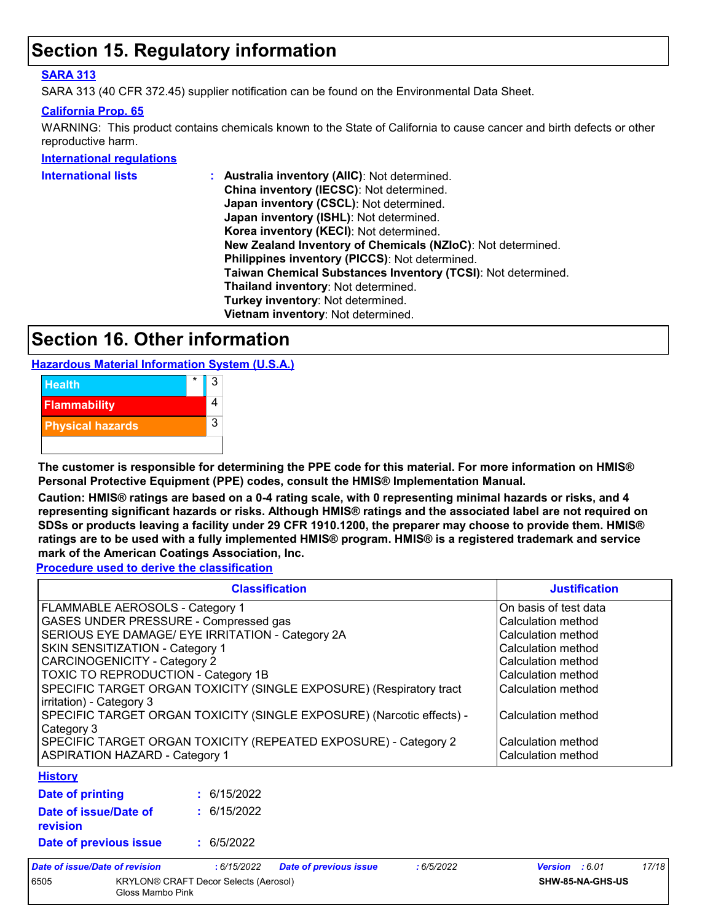### **Section 15. Regulatory information**

#### **SARA 313**

SARA 313 (40 CFR 372.45) supplier notification can be found on the Environmental Data Sheet.

#### **California Prop. 65**

WARNING: This product contains chemicals known to the State of California to cause cancer and birth defects or other reproductive harm.

#### **International regulations**

| International lists | : Australia inventory (AIIC): Not determined.                |  |  |  |  |
|---------------------|--------------------------------------------------------------|--|--|--|--|
|                     | China inventory (IECSC): Not determined.                     |  |  |  |  |
|                     | Japan inventory (CSCL): Not determined.                      |  |  |  |  |
|                     | Japan inventory (ISHL): Not determined.                      |  |  |  |  |
|                     | Korea inventory (KECI): Not determined.                      |  |  |  |  |
|                     | New Zealand Inventory of Chemicals (NZIoC): Not determined.  |  |  |  |  |
|                     | Philippines inventory (PICCS): Not determined.               |  |  |  |  |
|                     | Taiwan Chemical Substances Inventory (TCSI): Not determined. |  |  |  |  |
|                     | Thailand inventory: Not determined.                          |  |  |  |  |
|                     | Turkey inventory: Not determined.                            |  |  |  |  |
|                     | Vietnam inventory: Not determined.                           |  |  |  |  |
|                     |                                                              |  |  |  |  |

### **Section 16. Other information**

**Hazardous Material Information System (U.S.A.)**



**The customer is responsible for determining the PPE code for this material. For more information on HMIS® Personal Protective Equipment (PPE) codes, consult the HMIS® Implementation Manual.**

**Caution: HMIS® ratings are based on a 0-4 rating scale, with 0 representing minimal hazards or risks, and 4 representing significant hazards or risks. Although HMIS® ratings and the associated label are not required on SDSs or products leaving a facility under 29 CFR 1910.1200, the preparer may choose to provide them. HMIS® ratings are to be used with a fully implemented HMIS® program. HMIS® is a registered trademark and service mark of the American Coatings Association, Inc.**

**Procedure used to derive the classification**

|                                                                                                 | <b>Justification</b>  |                               |           |                |       |
|-------------------------------------------------------------------------------------------------|-----------------------|-------------------------------|-----------|----------------|-------|
| FLAMMABLE AEROSOLS - Category 1                                                                 | On basis of test data |                               |           |                |       |
| GASES UNDER PRESSURE - Compressed gas                                                           | Calculation method    |                               |           |                |       |
| SERIOUS EYE DAMAGE/ EYE IRRITATION - Category 2A                                                | Calculation method    |                               |           |                |       |
| SKIN SENSITIZATION - Category 1                                                                 | Calculation method    |                               |           |                |       |
| <b>CARCINOGENICITY - Category 2</b>                                                             | Calculation method    |                               |           |                |       |
| TOXIC TO REPRODUCTION - Category 1B                                                             | Calculation method    |                               |           |                |       |
| SPECIFIC TARGET ORGAN TOXICITY (SINGLE EXPOSURE) (Respiratory tract<br>irritation) - Category 3 | Calculation method    |                               |           |                |       |
| SPECIFIC TARGET ORGAN TOXICITY (SINGLE EXPOSURE) (Narcotic effects) -<br>Category 3             | Calculation method    |                               |           |                |       |
| SPECIFIC TARGET ORGAN TOXICITY (REPEATED EXPOSURE) - Category 2                                 | Calculation method    |                               |           |                |       |
| <b>ASPIRATION HAZARD - Category 1</b>                                                           | Calculation method    |                               |           |                |       |
| <b>History</b>                                                                                  |                       |                               |           |                |       |
| <b>Date of printing</b>                                                                         | : 6/15/2022           |                               |           |                |       |
| Date of issue/Date of<br>revision                                                               | : 6/15/2022           |                               |           |                |       |
| Date of previous issue                                                                          | : 6/5/2022            |                               |           |                |       |
| Date of issue/Date of revision                                                                  | :6/15/2022            | <b>Date of previous issue</b> | :6/5/2022 | Version : 6.01 | 17/18 |